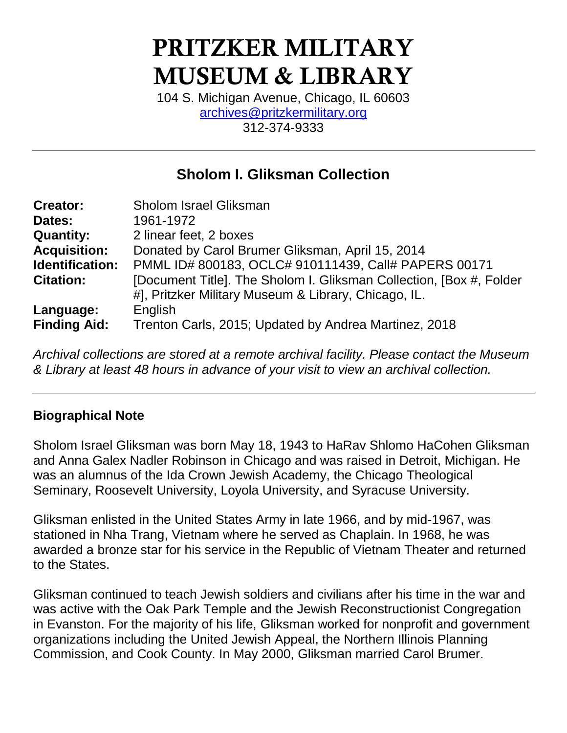# **PRITZKER MILITARY MUSEUM & LIBRARY**

104 S. Michigan Avenue, Chicago, IL 60603 [archives@pritzkermilitary.org](mailto:archives@pritzkermilitary.org) 312-374-9333

# **Sholom I. Gliksman Collection**

| <b>Creator:</b>     | <b>Sholom Israel Gliksman</b>                                        |
|---------------------|----------------------------------------------------------------------|
| Dates:              | 1961-1972                                                            |
| <b>Quantity:</b>    | 2 linear feet, 2 boxes                                               |
| <b>Acquisition:</b> | Donated by Carol Brumer Gliksman, April 15, 2014                     |
| Identification:     | PMML ID# 800183, OCLC# 910111439, Call# PAPERS 00171                 |
| <b>Citation:</b>    | [Document Title]. The Sholom I. Gliksman Collection, [Box #, Folder] |
|                     | #], Pritzker Military Museum & Library, Chicago, IL.                 |
| Language:           | English                                                              |
| <b>Finding Aid:</b> | Trenton Carls, 2015; Updated by Andrea Martinez, 2018                |

*Archival collections are stored at a remote archival facility. Please contact the Museum & Library at least 48 hours in advance of your visit to view an archival collection.*

#### **Biographical Note**

Sholom Israel Gliksman was born May 18, 1943 to HaRav Shlomo HaCohen Gliksman and Anna Galex Nadler Robinson in Chicago and was raised in Detroit, Michigan. He was an alumnus of the Ida Crown Jewish Academy, the Chicago Theological Seminary, Roosevelt University, Loyola University, and Syracuse University.

Gliksman enlisted in the United States Army in late 1966, and by mid-1967, was stationed in Nha Trang, Vietnam where he served as Chaplain. In 1968, he was awarded a bronze star for his service in the Republic of Vietnam Theater and returned to the States.

Gliksman continued to teach Jewish soldiers and civilians after his time in the war and was active with the Oak Park Temple and the Jewish Reconstructionist Congregation in Evanston. For the majority of his life, Gliksman worked for nonprofit and government organizations including the United Jewish Appeal, the Northern Illinois Planning Commission, and Cook County. In May 2000, Gliksman married Carol Brumer.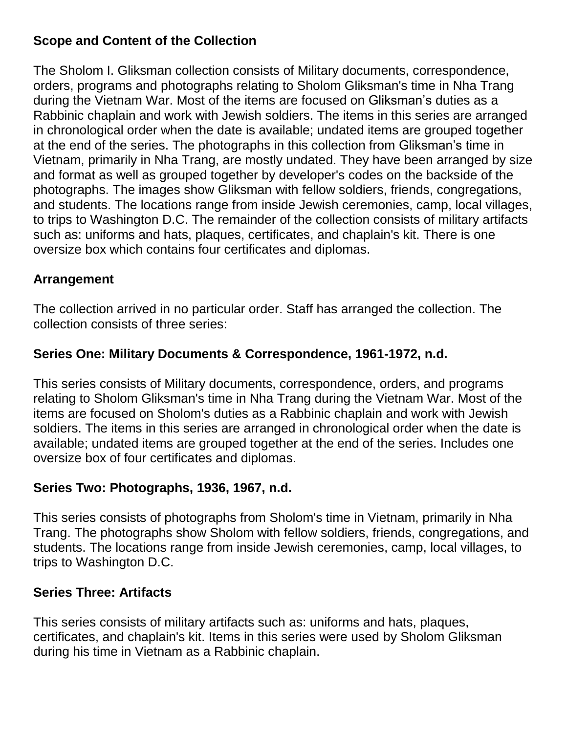#### **Scope and Content of the Collection**

The Sholom I. Gliksman collection consists of Military documents, correspondence, orders, programs and photographs relating to Sholom Gliksman's time in Nha Trang during the Vietnam War. Most of the items are focused on Gliksman's duties as a Rabbinic chaplain and work with Jewish soldiers. The items in this series are arranged in chronological order when the date is available; undated items are grouped together at the end of the series. The photographs in this collection from Gliksman's time in Vietnam, primarily in Nha Trang, are mostly undated. They have been arranged by size and format as well as grouped together by developer's codes on the backside of the photographs. The images show Gliksman with fellow soldiers, friends, congregations, and students. The locations range from inside Jewish ceremonies, camp, local villages, to trips to Washington D.C. The remainder of the collection consists of military artifacts such as: uniforms and hats, plaques, certificates, and chaplain's kit. There is one oversize box which contains four certificates and diplomas.

# **Arrangement**

The collection arrived in no particular order. Staff has arranged the collection. The collection consists of three series:

# **Series One: Military Documents & Correspondence, 1961-1972, n.d.**

This series consists of Military documents, correspondence, orders, and programs relating to Sholom Gliksman's time in Nha Trang during the Vietnam War. Most of the items are focused on Sholom's duties as a Rabbinic chaplain and work with Jewish soldiers. The items in this series are arranged in chronological order when the date is available; undated items are grouped together at the end of the series. Includes one oversize box of four certificates and diplomas.

# **Series Two: Photographs, 1936, 1967, n.d.**

This series consists of photographs from Sholom's time in Vietnam, primarily in Nha Trang. The photographs show Sholom with fellow soldiers, friends, congregations, and students. The locations range from inside Jewish ceremonies, camp, local villages, to trips to Washington D.C.

# **Series Three: Artifacts**

This series consists of military artifacts such as: uniforms and hats, plaques, certificates, and chaplain's kit. Items in this series were used by Sholom Gliksman during his time in Vietnam as a Rabbinic chaplain.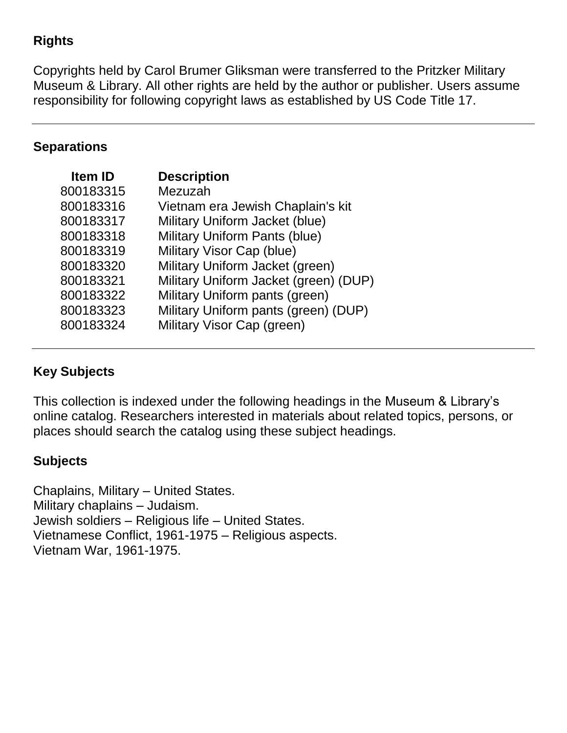#### **Rights**

Copyrights held by Carol Brumer Gliksman were transferred to the Pritzker Military Museum & Library. All other rights are held by the author or publisher. Users assume responsibility for following copyright laws as established by US Code Title 17.

#### **Separations**

| <b>Item ID</b> | <b>Description</b>                    |
|----------------|---------------------------------------|
| 800183315      | Mezuzah                               |
| 800183316      | Vietnam era Jewish Chaplain's kit     |
| 800183317      | Military Uniform Jacket (blue)        |
| 800183318      | <b>Military Uniform Pants (blue)</b>  |
| 800183319      | Military Visor Cap (blue)             |
| 800183320      | Military Uniform Jacket (green)       |
| 800183321      | Military Uniform Jacket (green) (DUP) |
| 800183322      | Military Uniform pants (green)        |
| 800183323      | Military Uniform pants (green) (DUP)  |
| 800183324      | Military Visor Cap (green)            |

#### **Key Subjects**

This collection is indexed under the following headings in the Museum & Library's online catalog. Researchers interested in materials about related topics, persons, or places should search the catalog using these subject headings.

#### **Subjects**

Chaplains, Military – United States. Military chaplains – Judaism. Jewish soldiers – Religious life – United States. Vietnamese Conflict, 1961-1975 – Religious aspects. Vietnam War, 1961-1975.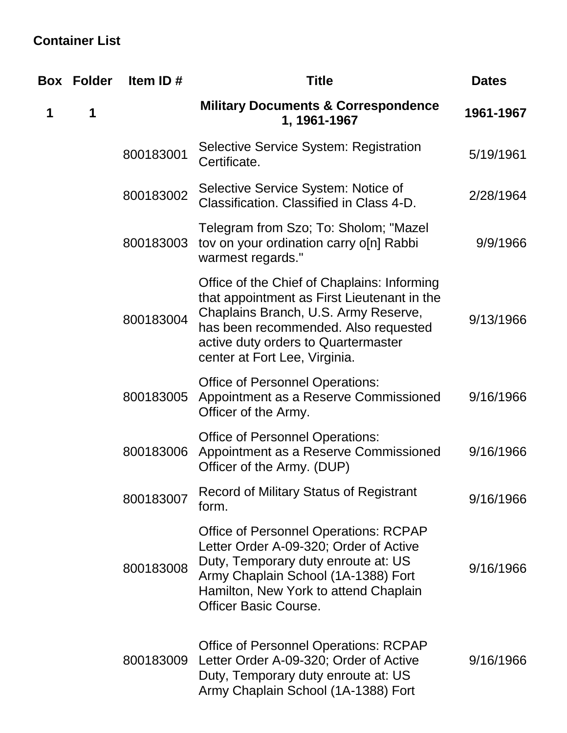# **Container List**

| Box | <b>Folder</b> | Item ID#  | <b>Title</b>                                                                                                                                                                                                                                       | <b>Dates</b> |
|-----|---------------|-----------|----------------------------------------------------------------------------------------------------------------------------------------------------------------------------------------------------------------------------------------------------|--------------|
| 1   | 1             |           | <b>Military Documents &amp; Correspondence</b><br>1, 1961-1967                                                                                                                                                                                     | 1961-1967    |
|     |               | 800183001 | Selective Service System: Registration<br>Certificate.                                                                                                                                                                                             | 5/19/1961    |
|     |               | 800183002 | Selective Service System: Notice of<br>Classification. Classified in Class 4-D.                                                                                                                                                                    | 2/28/1964    |
|     |               | 800183003 | Telegram from Szo; To: Sholom; "Mazel<br>tov on your ordination carry o[n] Rabbi<br>warmest regards."                                                                                                                                              | 9/9/1966     |
|     |               | 800183004 | Office of the Chief of Chaplains: Informing<br>that appointment as First Lieutenant in the<br>Chaplains Branch, U.S. Army Reserve,<br>has been recommended. Also requested<br>active duty orders to Quartermaster<br>center at Fort Lee, Virginia. | 9/13/1966    |
|     |               | 800183005 | <b>Office of Personnel Operations:</b><br>Appointment as a Reserve Commissioned<br>Officer of the Army.                                                                                                                                            | 9/16/1966    |
|     |               | 800183006 | <b>Office of Personnel Operations:</b><br>Appointment as a Reserve Commissioned<br>Officer of the Army. (DUP)                                                                                                                                      | 9/16/1966    |
|     |               | 800183007 | <b>Record of Military Status of Registrant</b><br>form.                                                                                                                                                                                            | 9/16/1966    |
|     |               | 800183008 | <b>Office of Personnel Operations: RCPAP</b><br>Letter Order A-09-320; Order of Active<br>Duty, Temporary duty enroute at: US<br>Army Chaplain School (1A-1388) Fort<br>Hamilton, New York to attend Chaplain<br><b>Officer Basic Course.</b>      | 9/16/1966    |
|     |               | 800183009 | <b>Office of Personnel Operations: RCPAP</b><br>Letter Order A-09-320; Order of Active<br>Duty, Temporary duty enroute at: US<br>Army Chaplain School (1A-1388) Fort                                                                               | 9/16/1966    |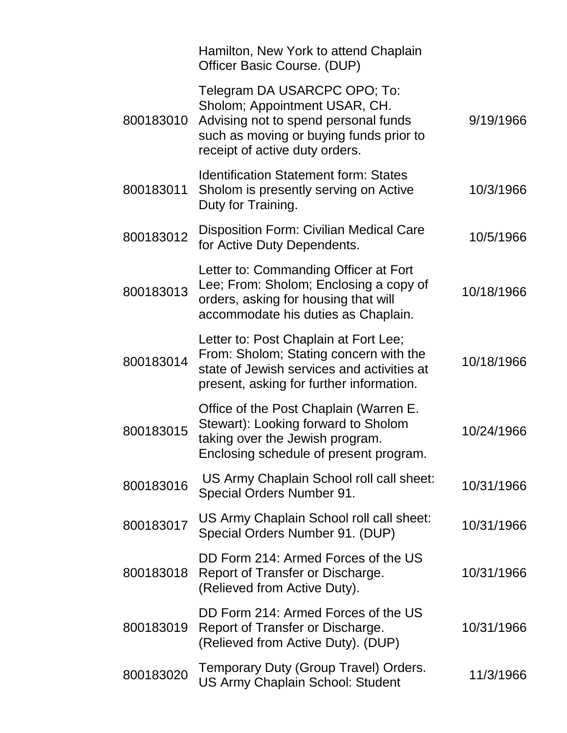|           | Hamilton, New York to attend Chaplain<br>Officer Basic Course. (DUP)                                                                                                               |            |
|-----------|------------------------------------------------------------------------------------------------------------------------------------------------------------------------------------|------------|
| 800183010 | Telegram DA USARCPC OPO; To:<br>Sholom; Appointment USAR, CH.<br>Advising not to spend personal funds<br>such as moving or buying funds prior to<br>receipt of active duty orders. | 9/19/1966  |
| 800183011 | <b>Identification Statement form: States</b><br>Sholom is presently serving on Active<br>Duty for Training.                                                                        | 10/3/1966  |
| 800183012 | <b>Disposition Form: Civilian Medical Care</b><br>for Active Duty Dependents.                                                                                                      | 10/5/1966  |
| 800183013 | Letter to: Commanding Officer at Fort<br>Lee; From: Sholom; Enclosing a copy of<br>orders, asking for housing that will<br>accommodate his duties as Chaplain.                     | 10/18/1966 |
| 800183014 | Letter to: Post Chaplain at Fort Lee;<br>From: Sholom; Stating concern with the<br>state of Jewish services and activities at<br>present, asking for further information.          | 10/18/1966 |
| 800183015 | Office of the Post Chaplain (Warren E.<br>Stewart): Looking forward to Sholom<br>taking over the Jewish program.<br>Enclosing schedule of present program.                         | 10/24/1966 |
| 800183016 | US Army Chaplain School roll call sheet:<br>Special Orders Number 91.                                                                                                              | 10/31/1966 |
| 800183017 | US Army Chaplain School roll call sheet:<br>Special Orders Number 91. (DUP)                                                                                                        | 10/31/1966 |
| 800183018 | DD Form 214: Armed Forces of the US<br>Report of Transfer or Discharge.<br>(Relieved from Active Duty).                                                                            | 10/31/1966 |
| 800183019 | DD Form 214: Armed Forces of the US<br>Report of Transfer or Discharge.<br>(Relieved from Active Duty). (DUP)                                                                      | 10/31/1966 |
| 800183020 | Temporary Duty (Group Travel) Orders.<br><b>US Army Chaplain School: Student</b>                                                                                                   | 11/3/1966  |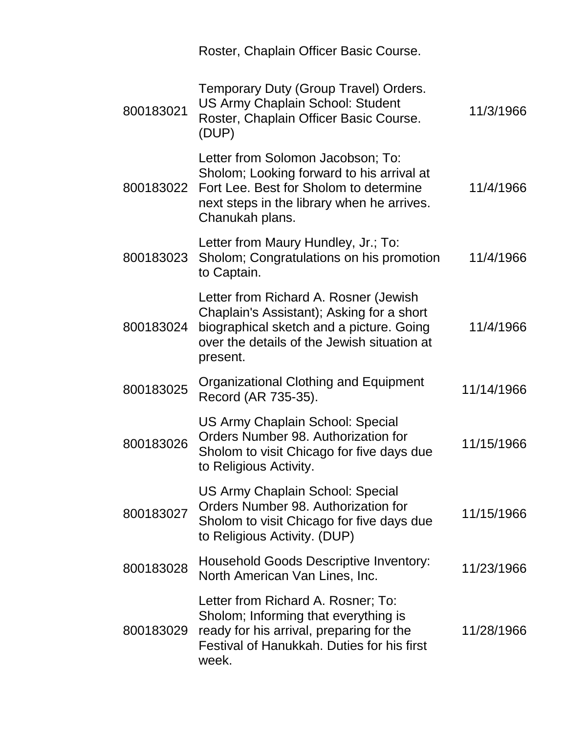|           | Roster, Chaplain Officer Basic Course.                                                                                                                                                    |            |
|-----------|-------------------------------------------------------------------------------------------------------------------------------------------------------------------------------------------|------------|
| 800183021 | Temporary Duty (Group Travel) Orders.<br><b>US Army Chaplain School: Student</b><br>Roster, Chaplain Officer Basic Course.<br>(DUP)                                                       | 11/3/1966  |
| 800183022 | Letter from Solomon Jacobson; To:<br>Sholom; Looking forward to his arrival at<br>Fort Lee. Best for Sholom to determine<br>next steps in the library when he arrives.<br>Chanukah plans. | 11/4/1966  |
| 800183023 | Letter from Maury Hundley, Jr.; To:<br>Sholom; Congratulations on his promotion<br>to Captain.                                                                                            | 11/4/1966  |
| 800183024 | Letter from Richard A. Rosner (Jewish<br>Chaplain's Assistant); Asking for a short<br>biographical sketch and a picture. Going<br>over the details of the Jewish situation at<br>present. | 11/4/1966  |
| 800183025 | <b>Organizational Clothing and Equipment</b><br>Record (AR 735-35).                                                                                                                       | 11/14/1966 |
| 800183026 | <b>US Army Chaplain School: Special</b><br>Orders Number 98. Authorization for<br>Sholom to visit Chicago for five days due<br>to Religious Activity.                                     | 11/15/1966 |
| 800183027 | <b>US Army Chaplain School: Special</b><br>Orders Number 98. Authorization for<br>Sholom to visit Chicago for five days due<br>to Religious Activity. (DUP)                               | 11/15/1966 |
| 800183028 | <b>Household Goods Descriptive Inventory:</b><br>North American Van Lines, Inc.                                                                                                           | 11/23/1966 |
| 800183029 | Letter from Richard A. Rosner; To:<br>Sholom; Informing that everything is<br>ready for his arrival, preparing for the<br>Festival of Hanukkah. Duties for his first<br>week.             | 11/28/1966 |
|           |                                                                                                                                                                                           |            |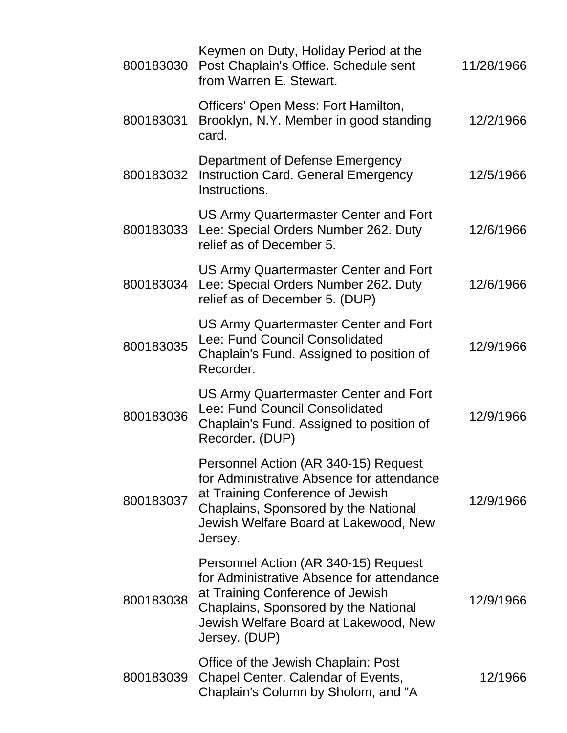| 800183030 | Keymen on Duty, Holiday Period at the<br>Post Chaplain's Office. Schedule sent<br>from Warren E. Stewart.                                                                                                               | 11/28/1966 |
|-----------|-------------------------------------------------------------------------------------------------------------------------------------------------------------------------------------------------------------------------|------------|
| 800183031 | Officers' Open Mess: Fort Hamilton,<br>Brooklyn, N.Y. Member in good standing<br>card.                                                                                                                                  | 12/2/1966  |
| 800183032 | Department of Defense Emergency<br><b>Instruction Card. General Emergency</b><br>Instructions.                                                                                                                          | 12/5/1966  |
| 800183033 | US Army Quartermaster Center and Fort<br>Lee: Special Orders Number 262. Duty<br>relief as of December 5.                                                                                                               | 12/6/1966  |
| 800183034 | US Army Quartermaster Center and Fort<br>Lee: Special Orders Number 262. Duty<br>relief as of December 5. (DUP)                                                                                                         | 12/6/1966  |
| 800183035 | US Army Quartermaster Center and Fort<br>Lee: Fund Council Consolidated<br>Chaplain's Fund. Assigned to position of<br>Recorder.                                                                                        | 12/9/1966  |
| 800183036 | US Army Quartermaster Center and Fort<br>Lee: Fund Council Consolidated<br>Chaplain's Fund. Assigned to position of<br>Recorder. (DUP)                                                                                  | 12/9/1966  |
| 800183037 | Personnel Action (AR 340-15) Request<br>for Administrative Absence for attendance<br>at Training Conference of Jewish<br>Chaplains, Sponsored by the National<br>Jewish Welfare Board at Lakewood, New<br>Jersey.       | 12/9/1966  |
| 800183038 | Personnel Action (AR 340-15) Request<br>for Administrative Absence for attendance<br>at Training Conference of Jewish<br>Chaplains, Sponsored by the National<br>Jewish Welfare Board at Lakewood, New<br>Jersey. (DUP) | 12/9/1966  |
| 800183039 | Office of the Jewish Chaplain: Post<br>Chapel Center. Calendar of Events,<br>Chaplain's Column by Sholom, and "A                                                                                                        | 12/1966    |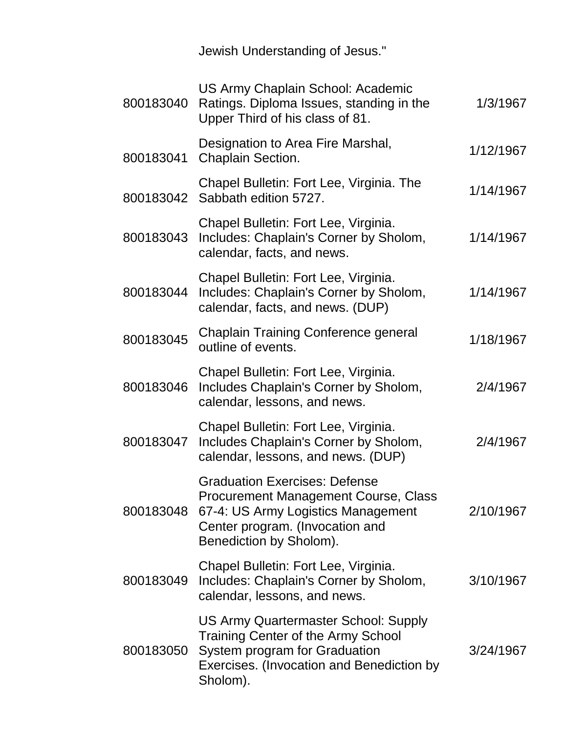Jewish Understanding of Jesus."

| 800183040 | US Army Chaplain School: Academic<br>Ratings. Diploma Issues, standing in the<br>Upper Third of his class of 81.                                                                 | 1/3/1967  |
|-----------|----------------------------------------------------------------------------------------------------------------------------------------------------------------------------------|-----------|
| 800183041 | Designation to Area Fire Marshal,<br><b>Chaplain Section.</b>                                                                                                                    | 1/12/1967 |
|           | Chapel Bulletin: Fort Lee, Virginia. The<br>800183042 Sabbath edition 5727.                                                                                                      | 1/14/1967 |
| 800183043 | Chapel Bulletin: Fort Lee, Virginia.<br>Includes: Chaplain's Corner by Sholom,<br>calendar, facts, and news.                                                                     | 1/14/1967 |
| 800183044 | Chapel Bulletin: Fort Lee, Virginia.<br>Includes: Chaplain's Corner by Sholom,<br>calendar, facts, and news. (DUP)                                                               | 1/14/1967 |
| 800183045 | <b>Chaplain Training Conference general</b><br>outline of events.                                                                                                                | 1/18/1967 |
| 800183046 | Chapel Bulletin: Fort Lee, Virginia.<br>Includes Chaplain's Corner by Sholom,<br>calendar, lessons, and news.                                                                    | 2/4/1967  |
| 800183047 | Chapel Bulletin: Fort Lee, Virginia.<br>Includes Chaplain's Corner by Sholom,<br>calendar, lessons, and news. (DUP)                                                              | 2/4/1967  |
| 800183048 | <b>Graduation Exercises: Defense</b><br>Procurement Management Course, Class<br>67-4: US Army Logistics Management<br>Center program. (Invocation and<br>Benediction by Sholom). | 2/10/1967 |
| 800183049 | Chapel Bulletin: Fort Lee, Virginia.<br>Includes: Chaplain's Corner by Sholom,<br>calendar, lessons, and news.                                                                   | 3/10/1967 |
| 800183050 | US Army Quartermaster School: Supply<br><b>Training Center of the Army School</b><br>System program for Graduation<br>Exercises. (Invocation and Benediction by<br>Sholom).      | 3/24/1967 |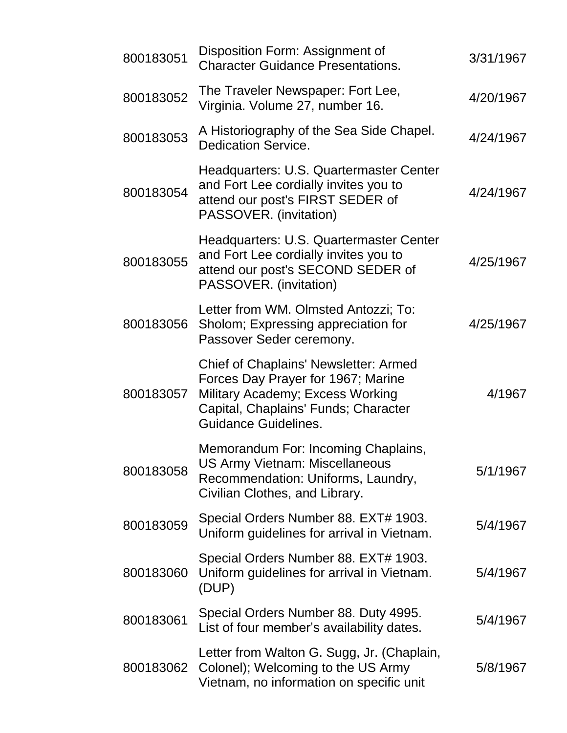| 800183051 | Disposition Form: Assignment of<br><b>Character Guidance Presentations.</b>                                                                                                                   | 3/31/1967 |
|-----------|-----------------------------------------------------------------------------------------------------------------------------------------------------------------------------------------------|-----------|
| 800183052 | The Traveler Newspaper: Fort Lee,<br>Virginia. Volume 27, number 16.                                                                                                                          | 4/20/1967 |
| 800183053 | A Historiography of the Sea Side Chapel.<br><b>Dedication Service.</b>                                                                                                                        | 4/24/1967 |
| 800183054 | Headquarters: U.S. Quartermaster Center<br>and Fort Lee cordially invites you to<br>attend our post's FIRST SEDER of<br>PASSOVER. (invitation)                                                | 4/24/1967 |
| 800183055 | Headquarters: U.S. Quartermaster Center<br>and Fort Lee cordially invites you to<br>attend our post's SECOND SEDER of<br>PASSOVER. (invitation)                                               | 4/25/1967 |
| 800183056 | Letter from WM. Olmsted Antozzi; To:<br>Sholom; Expressing appreciation for<br>Passover Seder ceremony.                                                                                       | 4/25/1967 |
| 800183057 | <b>Chief of Chaplains' Newsletter: Armed</b><br>Forces Day Prayer for 1967; Marine<br>Military Academy; Excess Working<br>Capital, Chaplains' Funds; Character<br><b>Guidance Guidelines.</b> | 4/1967    |
| 800183058 | Memorandum For: Incoming Chaplains,<br><b>US Army Vietnam: Miscellaneous</b><br>Recommendation: Uniforms, Laundry,<br>Civilian Clothes, and Library.                                          | 5/1/1967  |
| 800183059 | Special Orders Number 88. EXT# 1903.<br>Uniform guidelines for arrival in Vietnam.                                                                                                            | 5/4/1967  |
| 800183060 | Special Orders Number 88. EXT# 1903.<br>Uniform guidelines for arrival in Vietnam.<br>(DUP)                                                                                                   | 5/4/1967  |
| 800183061 | Special Orders Number 88. Duty 4995.<br>List of four member's availability dates.                                                                                                             | 5/4/1967  |
| 800183062 | Letter from Walton G. Sugg, Jr. (Chaplain,<br>Colonel); Welcoming to the US Army<br>Vietnam, no information on specific unit                                                                  | 5/8/1967  |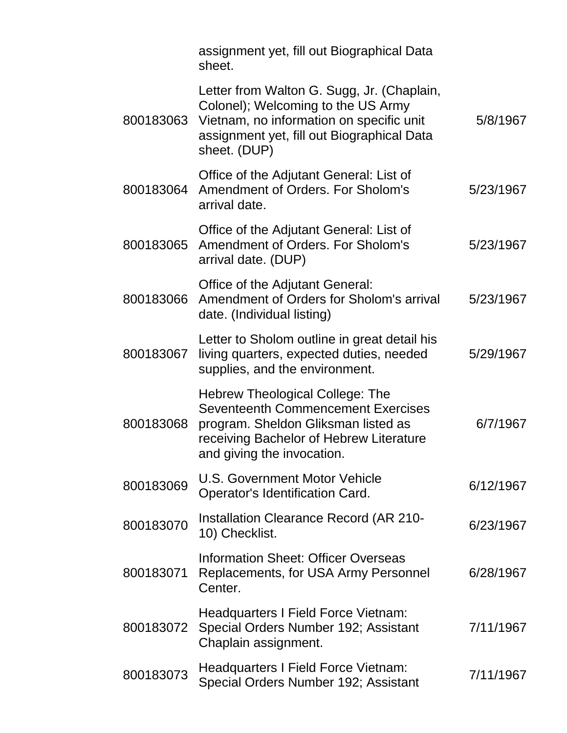|           | assignment yet, fill out Biographical Data<br>sheet.                                                                                                                                         |           |
|-----------|----------------------------------------------------------------------------------------------------------------------------------------------------------------------------------------------|-----------|
| 800183063 | Letter from Walton G. Sugg, Jr. (Chaplain,<br>Colonel); Welcoming to the US Army<br>Vietnam, no information on specific unit<br>assignment yet, fill out Biographical Data<br>sheet. (DUP)   | 5/8/1967  |
| 800183064 | Office of the Adjutant General: List of<br>Amendment of Orders. For Sholom's<br>arrival date.                                                                                                | 5/23/1967 |
| 800183065 | Office of the Adjutant General: List of<br>Amendment of Orders. For Sholom's<br>arrival date. (DUP)                                                                                          | 5/23/1967 |
| 800183066 | Office of the Adjutant General:<br>Amendment of Orders for Sholom's arrival<br>date. (Individual listing)                                                                                    | 5/23/1967 |
| 800183067 | Letter to Sholom outline in great detail his<br>living quarters, expected duties, needed<br>supplies, and the environment.                                                                   | 5/29/1967 |
| 800183068 | Hebrew Theological College: The<br><b>Seventeenth Commencement Exercises</b><br>program. Sheldon Gliksman listed as<br>receiving Bachelor of Hebrew Literature<br>and giving the invocation. | 6/7/1967  |
| 800183069 | U.S. Government Motor Vehicle<br>Operator's Identification Card.                                                                                                                             | 6/12/1967 |
| 800183070 | <b>Installation Clearance Record (AR 210-</b><br>10) Checklist.                                                                                                                              | 6/23/1967 |
| 800183071 | <b>Information Sheet: Officer Overseas</b><br>Replacements, for USA Army Personnel<br>Center.                                                                                                | 6/28/1967 |
| 800183072 | Headquarters I Field Force Vietnam:<br>Special Orders Number 192; Assistant<br>Chaplain assignment.                                                                                          | 7/11/1967 |
| 800183073 | Headquarters I Field Force Vietnam:<br>Special Orders Number 192; Assistant                                                                                                                  | 7/11/1967 |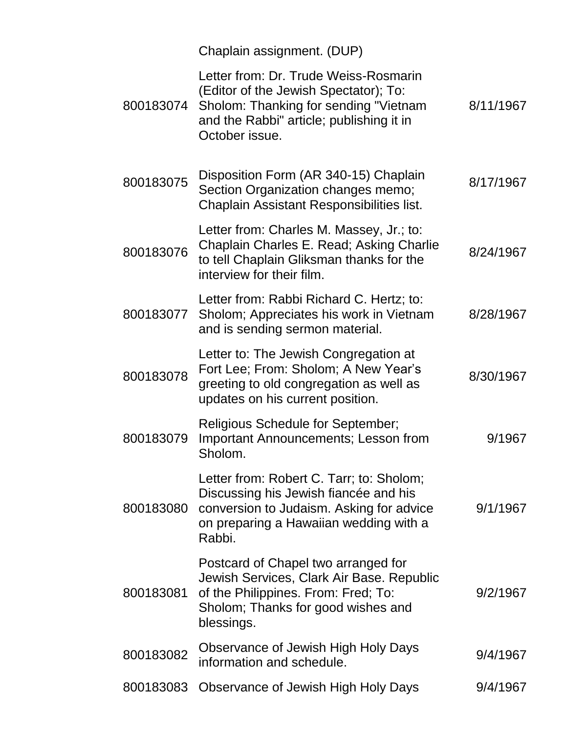|           | Chaplain assignment. (DUP)                                                                                                                                                            |           |
|-----------|---------------------------------------------------------------------------------------------------------------------------------------------------------------------------------------|-----------|
| 800183074 | Letter from: Dr. Trude Weiss-Rosmarin<br>(Editor of the Jewish Spectator); To:<br>Sholom: Thanking for sending "Vietnam<br>and the Rabbi" article; publishing it in<br>October issue. | 8/11/1967 |
| 800183075 | Disposition Form (AR 340-15) Chaplain<br>Section Organization changes memo;<br>Chaplain Assistant Responsibilities list.                                                              | 8/17/1967 |
| 800183076 | Letter from: Charles M. Massey, Jr.; to:<br>Chaplain Charles E. Read; Asking Charlie<br>to tell Chaplain Gliksman thanks for the<br>interview for their film.                         | 8/24/1967 |
| 800183077 | Letter from: Rabbi Richard C. Hertz; to:<br>Sholom; Appreciates his work in Vietnam<br>and is sending sermon material.                                                                | 8/28/1967 |
| 800183078 | Letter to: The Jewish Congregation at<br>Fort Lee; From: Sholom; A New Year's<br>greeting to old congregation as well as<br>updates on his current position.                          | 8/30/1967 |
| 800183079 | <b>Religious Schedule for September;</b><br><b>Important Announcements; Lesson from</b><br><b>Sholom</b>                                                                              | 9/1967    |
| 800183080 | Letter from: Robert C. Tarr; to: Sholom;<br>Discussing his Jewish fiancée and his<br>conversion to Judaism. Asking for advice<br>on preparing a Hawaiian wedding with a<br>Rabbi.     | 9/1/1967  |
| 800183081 | Postcard of Chapel two arranged for<br>Jewish Services, Clark Air Base. Republic<br>of the Philippines. From: Fred; To:<br>Sholom; Thanks for good wishes and<br>blessings.           | 9/2/1967  |
| 800183082 | Observance of Jewish High Holy Days<br>information and schedule.                                                                                                                      | 9/4/1967  |
| 800183083 | Observance of Jewish High Holy Days                                                                                                                                                   | 9/4/1967  |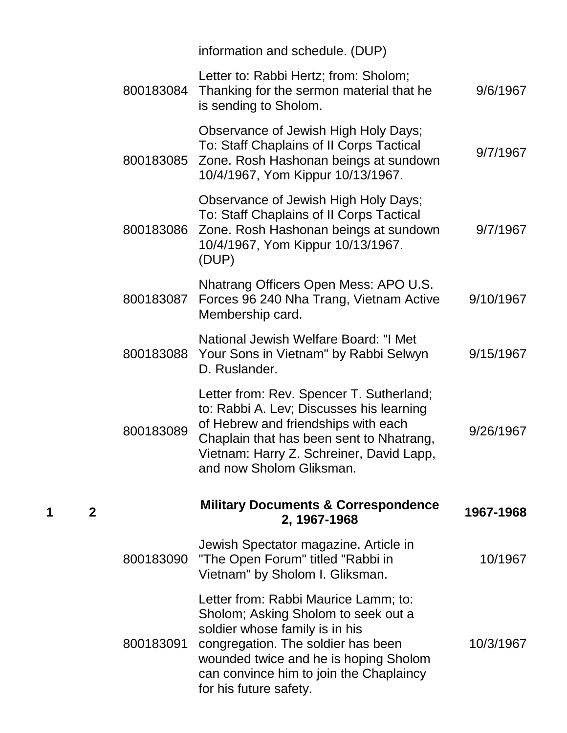|           | information and schedule. (DUP)                                                                                                                                                                                                                                   |           |
|-----------|-------------------------------------------------------------------------------------------------------------------------------------------------------------------------------------------------------------------------------------------------------------------|-----------|
| 800183084 | Letter to: Rabbi Hertz; from: Sholom;<br>Thanking for the sermon material that he<br>is sending to Sholom.                                                                                                                                                        | 9/6/1967  |
| 800183085 | Observance of Jewish High Holy Days;<br>To: Staff Chaplains of II Corps Tactical<br>Zone. Rosh Hashonan beings at sundown<br>10/4/1967, Yom Kippur 10/13/1967.                                                                                                    | 9/7/1967  |
| 800183086 | Observance of Jewish High Holy Days;<br>To: Staff Chaplains of II Corps Tactical<br>Zone. Rosh Hashonan beings at sundown<br>10/4/1967, Yom Kippur 10/13/1967.<br>(DUP)                                                                                           | 9/7/1967  |
| 800183087 | Nhatrang Officers Open Mess: APO U.S.<br>Forces 96 240 Nha Trang, Vietnam Active<br>Membership card.                                                                                                                                                              | 9/10/1967 |
| 800183088 | National Jewish Welfare Board: "I Met<br>Your Sons in Vietnam" by Rabbi Selwyn<br>D. Ruslander.                                                                                                                                                                   | 9/15/1967 |
| 800183089 | Letter from: Rev. Spencer T. Sutherland;<br>to: Rabbi A. Lev; Discusses his learning<br>of Hebrew and friendships with each<br>Chaplain that has been sent to Nhatrang,<br>Vietnam: Harry Z. Schreiner, David Lapp,<br>and now Sholom Gliksman.                   | 9/26/1967 |
|           | <b>Military Documents &amp; Correspondence</b><br>2, 1967-1968                                                                                                                                                                                                    | 1967-1968 |
| 800183090 | Jewish Spectator magazine. Article in<br>"The Open Forum" titled "Rabbi in<br>Vietnam" by Sholom I. Gliksman.                                                                                                                                                     | 10/1967   |
| 800183091 | Letter from: Rabbi Maurice Lamm; to:<br>Sholom; Asking Sholom to seek out a<br>soldier whose family is in his<br>congregation. The soldier has been<br>wounded twice and he is hoping Sholom<br>can convince him to join the Chaplaincy<br>for his future safety. | 10/3/1967 |

**1 2**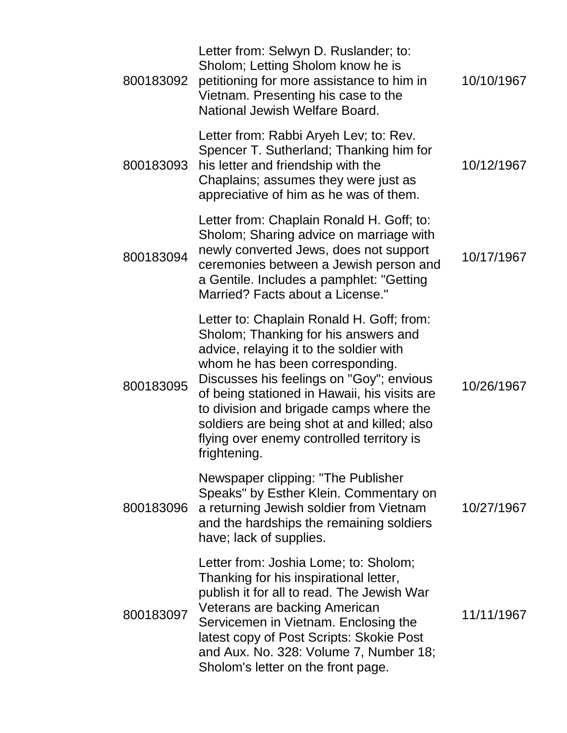| 800183092 | Letter from: Selwyn D. Ruslander; to:<br>Sholom; Letting Sholom know he is<br>petitioning for more assistance to him in<br>Vietnam. Presenting his case to the<br>National Jewish Welfare Board.                                                                                                                                                                                                                   | 10/10/1967 |
|-----------|--------------------------------------------------------------------------------------------------------------------------------------------------------------------------------------------------------------------------------------------------------------------------------------------------------------------------------------------------------------------------------------------------------------------|------------|
| 800183093 | Letter from: Rabbi Aryeh Lev; to: Rev.<br>Spencer T. Sutherland; Thanking him for<br>his letter and friendship with the<br>Chaplains; assumes they were just as<br>appreciative of him as he was of them.                                                                                                                                                                                                          | 10/12/1967 |
| 800183094 | Letter from: Chaplain Ronald H. Goff; to:<br>Sholom; Sharing advice on marriage with<br>newly converted Jews, does not support<br>ceremonies between a Jewish person and<br>a Gentile. Includes a pamphlet: "Getting<br>Married? Facts about a License."                                                                                                                                                           | 10/17/1967 |
| 800183095 | Letter to: Chaplain Ronald H. Goff; from:<br>Sholom; Thanking for his answers and<br>advice, relaying it to the soldier with<br>whom he has been corresponding.<br>Discusses his feelings on "Goy"; envious<br>of being stationed in Hawaii, his visits are<br>to division and brigade camps where the<br>soldiers are being shot at and killed; also<br>flying over enemy controlled territory is<br>frightening. | 10/26/1967 |
| 800183096 | Newspaper clipping: "The Publisher<br>Speaks" by Esther Klein. Commentary on<br>a returning Jewish soldier from Vietnam<br>and the hardships the remaining soldiers<br>have; lack of supplies.                                                                                                                                                                                                                     | 10/27/1967 |
| 800183097 | Letter from: Joshia Lome; to: Sholom;<br>Thanking for his inspirational letter,<br>publish it for all to read. The Jewish War<br>Veterans are backing American<br>Servicemen in Vietnam. Enclosing the<br>latest copy of Post Scripts: Skokie Post<br>and Aux. No. 328: Volume 7, Number 18;<br>Sholom's letter on the front page.                                                                                 | 11/11/1967 |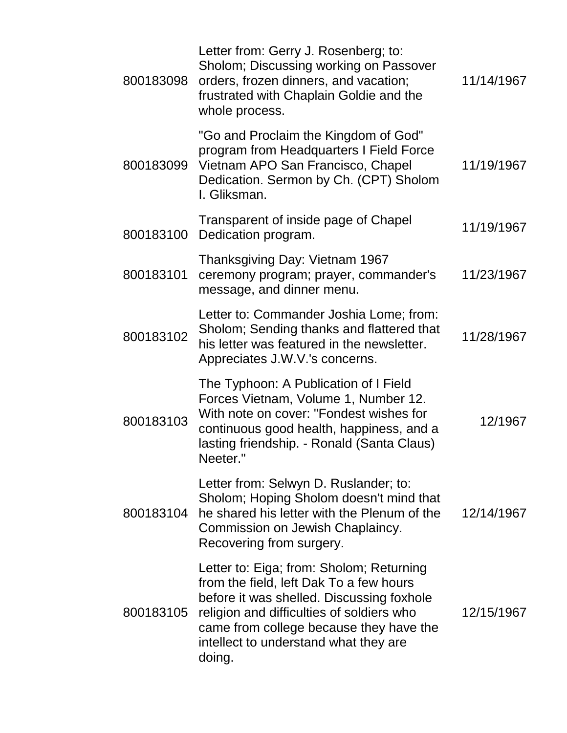| 800183098 | Letter from: Gerry J. Rosenberg; to:<br>Sholom; Discussing working on Passover<br>orders, frozen dinners, and vacation;<br>frustrated with Chaplain Goldie and the<br>whole process.                                                                                        | 11/14/1967 |
|-----------|-----------------------------------------------------------------------------------------------------------------------------------------------------------------------------------------------------------------------------------------------------------------------------|------------|
| 800183099 | "Go and Proclaim the Kingdom of God"<br>program from Headquarters I Field Force<br>Vietnam APO San Francisco, Chapel<br>Dedication. Sermon by Ch. (CPT) Sholom<br>I. Gliksman.                                                                                              | 11/19/1967 |
| 800183100 | Transparent of inside page of Chapel<br>Dedication program.                                                                                                                                                                                                                 | 11/19/1967 |
| 800183101 | Thanksgiving Day: Vietnam 1967<br>ceremony program; prayer, commander's<br>message, and dinner menu.                                                                                                                                                                        | 11/23/1967 |
| 800183102 | Letter to: Commander Joshia Lome; from:<br>Sholom; Sending thanks and flattered that<br>his letter was featured in the newsletter.<br>Appreciates J.W.V.'s concerns.                                                                                                        | 11/28/1967 |
| 800183103 | The Typhoon: A Publication of I Field<br>Forces Vietnam, Volume 1, Number 12.<br>With note on cover: "Fondest wishes for<br>continuous good health, happiness, and a<br>lasting friendship. - Ronald (Santa Claus)<br>Neeter."                                              | 12/1967    |
| 800183104 | Letter from: Selwyn D. Ruslander; to:<br>Sholom; Hoping Sholom doesn't mind that<br>he shared his letter with the Plenum of the<br>Commission on Jewish Chaplaincy.<br>Recovering from surgery.                                                                             | 12/14/1967 |
| 800183105 | Letter to: Eiga; from: Sholom; Returning<br>from the field, left Dak To a few hours<br>before it was shelled. Discussing foxhole<br>religion and difficulties of soldiers who<br>came from college because they have the<br>intellect to understand what they are<br>doing. | 12/15/1967 |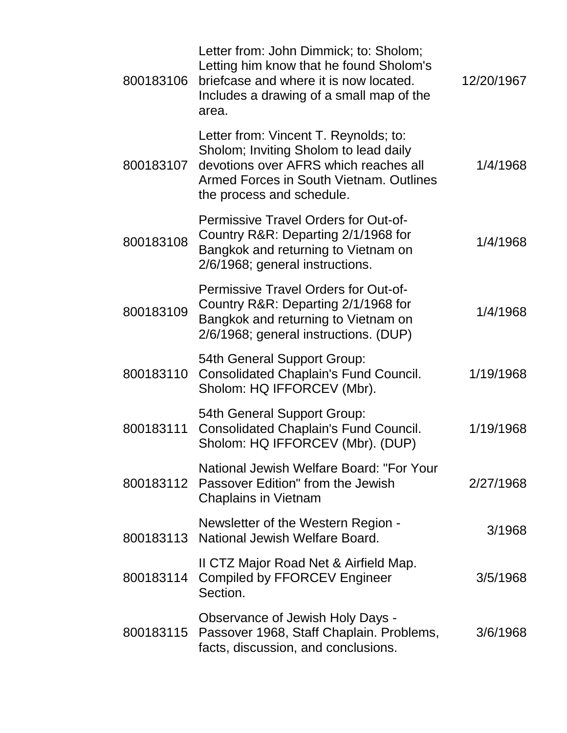| 800183106 | Letter from: John Dimmick; to: Sholom;<br>Letting him know that he found Sholom's<br>briefcase and where it is now located.<br>Includes a drawing of a small map of the<br>area.                | 12/20/1967 |
|-----------|-------------------------------------------------------------------------------------------------------------------------------------------------------------------------------------------------|------------|
| 800183107 | Letter from: Vincent T. Reynolds; to:<br>Sholom; Inviting Sholom to lead daily<br>devotions over AFRS which reaches all<br>Armed Forces in South Vietnam. Outlines<br>the process and schedule. | 1/4/1968   |
| 800183108 | <b>Permissive Travel Orders for Out-of-</b><br>Country R&R: Departing 2/1/1968 for<br>Bangkok and returning to Vietnam on<br>2/6/1968; general instructions.                                    | 1/4/1968   |
| 800183109 | <b>Permissive Travel Orders for Out-of-</b><br>Country R&R: Departing 2/1/1968 for<br>Bangkok and returning to Vietnam on<br>2/6/1968; general instructions. (DUP)                              | 1/4/1968   |
| 800183110 | 54th General Support Group:<br><b>Consolidated Chaplain's Fund Council.</b><br>Sholom: HQ IFFORCEV (Mbr).                                                                                       | 1/19/1968  |
| 800183111 | 54th General Support Group:<br><b>Consolidated Chaplain's Fund Council.</b><br>Sholom: HQ IFFORCEV (Mbr). (DUP)                                                                                 | 1/19/1968  |
| 800183112 | National Jewish Welfare Board: "For Your<br>Passover Edition" from the Jewish<br><b>Chaplains in Vietnam</b>                                                                                    | 2/27/1968  |
| 800183113 | Newsletter of the Western Region -<br>National Jewish Welfare Board.                                                                                                                            | 3/1968     |
| 800183114 | II CTZ Major Road Net & Airfield Map.<br><b>Compiled by FFORCEV Engineer</b><br>Section.                                                                                                        | 3/5/1968   |
| 800183115 | Observance of Jewish Holy Days -<br>Passover 1968, Staff Chaplain. Problems,<br>facts, discussion, and conclusions.                                                                             | 3/6/1968   |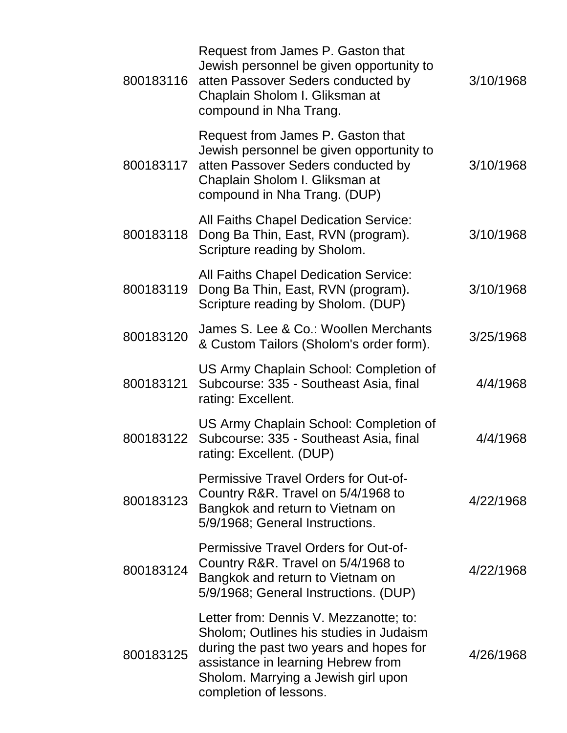| 800183116 | Request from James P. Gaston that<br>Jewish personnel be given opportunity to<br>atten Passover Seders conducted by<br>Chaplain Sholom I. Gliksman at<br>compound in Nha Trang.                                                     | 3/10/1968 |
|-----------|-------------------------------------------------------------------------------------------------------------------------------------------------------------------------------------------------------------------------------------|-----------|
| 800183117 | Request from James P. Gaston that<br>Jewish personnel be given opportunity to<br>atten Passover Seders conducted by<br>Chaplain Sholom I. Gliksman at<br>compound in Nha Trang. (DUP)                                               | 3/10/1968 |
| 800183118 | <b>All Faiths Chapel Dedication Service:</b><br>Dong Ba Thin, East, RVN (program).<br>Scripture reading by Sholom.                                                                                                                  | 3/10/1968 |
| 800183119 | <b>All Faiths Chapel Dedication Service:</b><br>Dong Ba Thin, East, RVN (program).<br>Scripture reading by Sholom. (DUP)                                                                                                            | 3/10/1968 |
| 800183120 | James S. Lee & Co.: Woollen Merchants<br>& Custom Tailors (Sholom's order form).                                                                                                                                                    | 3/25/1968 |
| 800183121 | US Army Chaplain School: Completion of<br>Subcourse: 335 - Southeast Asia, final<br>rating: Excellent.                                                                                                                              | 4/4/1968  |
| 800183122 | US Army Chaplain School: Completion of<br>Subcourse: 335 - Southeast Asia, final<br>rating: Excellent. (DUP)                                                                                                                        | 4/4/1968  |
| 800183123 | <b>Permissive Travel Orders for Out-of-</b><br>Country R&R. Travel on 5/4/1968 to<br>Bangkok and return to Vietnam on<br>5/9/1968; General Instructions.                                                                            | 4/22/1968 |
| 800183124 | <b>Permissive Travel Orders for Out-of-</b><br>Country R&R. Travel on 5/4/1968 to<br>Bangkok and return to Vietnam on<br>5/9/1968; General Instructions. (DUP)                                                                      | 4/22/1968 |
| 800183125 | Letter from: Dennis V. Mezzanotte; to:<br>Sholom; Outlines his studies in Judaism<br>during the past two years and hopes for<br>assistance in learning Hebrew from<br>Sholom. Marrying a Jewish girl upon<br>completion of lessons. | 4/26/1968 |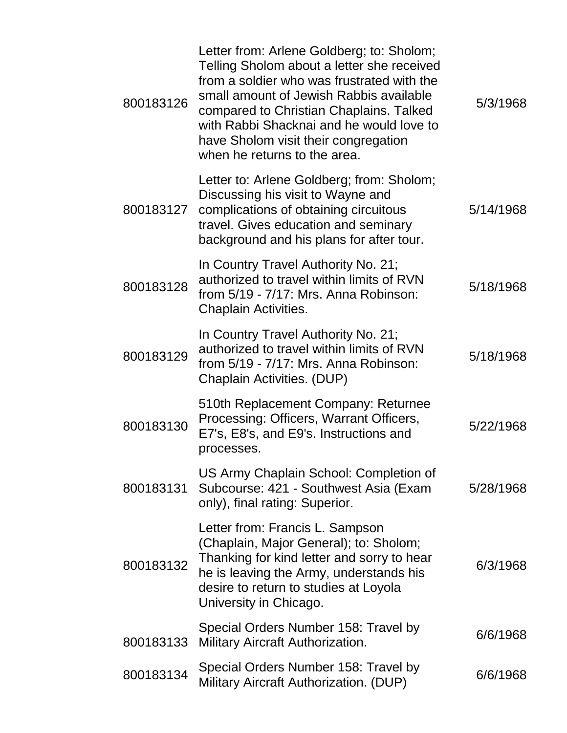| 800183126 | Letter from: Arlene Goldberg; to: Sholom;<br>Telling Sholom about a letter she received<br>from a soldier who was frustrated with the<br>small amount of Jewish Rabbis available<br>compared to Christian Chaplains. Talked<br>with Rabbi Shacknai and he would love to<br>have Sholom visit their congregation<br>when he returns to the area. | 5/3/1968  |
|-----------|-------------------------------------------------------------------------------------------------------------------------------------------------------------------------------------------------------------------------------------------------------------------------------------------------------------------------------------------------|-----------|
| 800183127 | Letter to: Arlene Goldberg; from: Sholom;<br>Discussing his visit to Wayne and<br>complications of obtaining circuitous<br>travel. Gives education and seminary<br>background and his plans for after tour.                                                                                                                                     | 5/14/1968 |
| 800183128 | In Country Travel Authority No. 21;<br>authorized to travel within limits of RVN<br>from 5/19 - 7/17: Mrs. Anna Robinson:<br>Chaplain Activities.                                                                                                                                                                                               | 5/18/1968 |
| 800183129 | In Country Travel Authority No. 21;<br>authorized to travel within limits of RVN<br>from 5/19 - 7/17: Mrs. Anna Robinson:<br>Chaplain Activities. (DUP)                                                                                                                                                                                         | 5/18/1968 |
| 800183130 | 510th Replacement Company: Returnee<br>Processing: Officers, Warrant Officers,<br>E7's, E8's, and E9's. Instructions and<br>processes.                                                                                                                                                                                                          | 5/22/1968 |
| 800183131 | US Army Chaplain School: Completion of<br>Subcourse: 421 - Southwest Asia (Exam<br>only), final rating: Superior.                                                                                                                                                                                                                               | 5/28/1968 |
| 800183132 | Letter from: Francis L. Sampson<br>(Chaplain, Major General); to: Sholom;<br>Thanking for kind letter and sorry to hear<br>he is leaving the Army, understands his<br>desire to return to studies at Loyola<br>University in Chicago.                                                                                                           | 6/3/1968  |
| 800183133 | Special Orders Number 158: Travel by<br>Military Aircraft Authorization.                                                                                                                                                                                                                                                                        | 6/6/1968  |
| 800183134 | Special Orders Number 158: Travel by<br>Military Aircraft Authorization. (DUP)                                                                                                                                                                                                                                                                  | 6/6/1968  |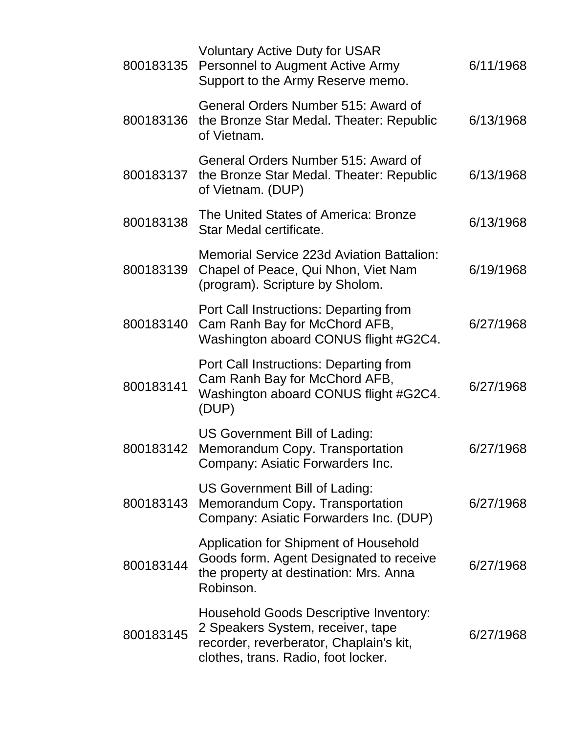| 800183135 | <b>Voluntary Active Duty for USAR</b><br><b>Personnel to Augment Active Army</b><br>Support to the Army Reserve memo.                                         | 6/11/1968 |
|-----------|---------------------------------------------------------------------------------------------------------------------------------------------------------------|-----------|
| 800183136 | General Orders Number 515: Award of<br>the Bronze Star Medal. Theater: Republic<br>of Vietnam.                                                                | 6/13/1968 |
| 800183137 | General Orders Number 515: Award of<br>the Bronze Star Medal. Theater: Republic<br>of Vietnam. (DUP)                                                          | 6/13/1968 |
| 800183138 | The United States of America: Bronze<br>Star Medal certificate.                                                                                               | 6/13/1968 |
| 800183139 | Memorial Service 223d Aviation Battalion:<br>Chapel of Peace, Qui Nhon, Viet Nam<br>(program). Scripture by Sholom.                                           | 6/19/1968 |
| 800183140 | Port Call Instructions: Departing from<br>Cam Ranh Bay for McChord AFB,<br>Washington aboard CONUS flight #G2C4.                                              | 6/27/1968 |
| 800183141 | Port Call Instructions: Departing from<br>Cam Ranh Bay for McChord AFB,<br>Washington aboard CONUS flight #G2C4.<br>(DUP)                                     | 6/27/1968 |
| 800183142 | US Government Bill of Lading:<br>Memorandum Copy. Transportation<br>Company: Asiatic Forwarders Inc.                                                          | 6/27/1968 |
| 800183143 | US Government Bill of Lading:<br>Memorandum Copy. Transportation<br>Company: Asiatic Forwarders Inc. (DUP)                                                    | 6/27/1968 |
| 800183144 | Application for Shipment of Household<br>Goods form. Agent Designated to receive<br>the property at destination: Mrs. Anna<br>Robinson.                       | 6/27/1968 |
| 800183145 | Household Goods Descriptive Inventory:<br>2 Speakers System, receiver, tape<br>recorder, reverberator, Chaplain's kit,<br>clothes, trans. Radio, foot locker. | 6/27/1968 |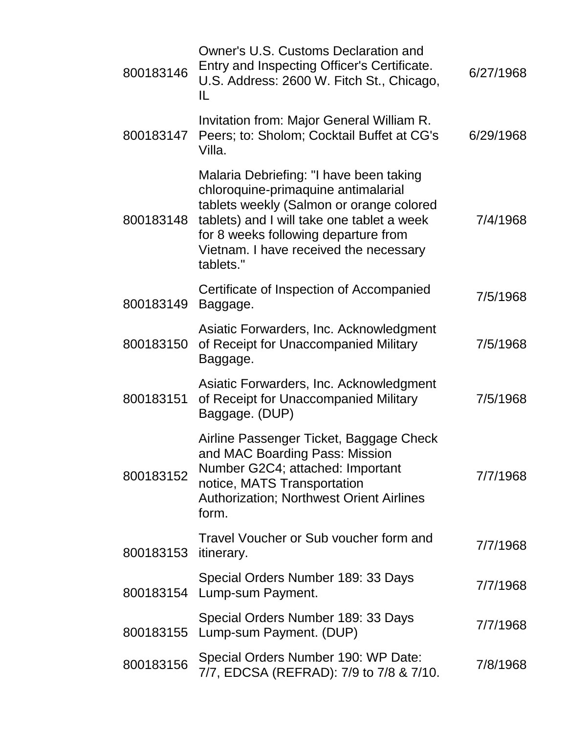| 800183146 | Owner's U.S. Customs Declaration and<br>Entry and Inspecting Officer's Certificate.<br>U.S. Address: 2600 W. Fitch St., Chicago,<br>IL                                                                                                                                  | 6/27/1968 |
|-----------|-------------------------------------------------------------------------------------------------------------------------------------------------------------------------------------------------------------------------------------------------------------------------|-----------|
| 800183147 | Invitation from: Major General William R.<br>Peers; to: Sholom; Cocktail Buffet at CG's<br>Villa.                                                                                                                                                                       | 6/29/1968 |
| 800183148 | Malaria Debriefing: "I have been taking<br>chloroquine-primaquine antimalarial<br>tablets weekly (Salmon or orange colored<br>tablets) and I will take one tablet a week<br>for 8 weeks following departure from<br>Vietnam. I have received the necessary<br>tablets." | 7/4/1968  |
| 800183149 | Certificate of Inspection of Accompanied<br>Baggage.                                                                                                                                                                                                                    | 7/5/1968  |
| 800183150 | Asiatic Forwarders, Inc. Acknowledgment<br>of Receipt for Unaccompanied Military<br>Baggage.                                                                                                                                                                            | 7/5/1968  |
| 800183151 | Asiatic Forwarders, Inc. Acknowledgment<br>of Receipt for Unaccompanied Military<br>Baggage. (DUP)                                                                                                                                                                      | 7/5/1968  |
| 800183152 | Airline Passenger Ticket, Baggage Check<br>and MAC Boarding Pass: Mission<br>Number G2C4; attached: Important<br>notice, MATS Transportation<br><b>Authorization; Northwest Orient Airlines</b><br>form.                                                                | 7/7/1968  |
| 800183153 | Travel Voucher or Sub voucher form and<br><i>itinerary.</i>                                                                                                                                                                                                             | 7/7/1968  |
| 800183154 | Special Orders Number 189: 33 Days<br>Lump-sum Payment.                                                                                                                                                                                                                 | 7/7/1968  |
| 800183155 | Special Orders Number 189: 33 Days<br>Lump-sum Payment. (DUP)                                                                                                                                                                                                           | 7/7/1968  |
| 800183156 | Special Orders Number 190: WP Date:<br>7/7, EDCSA (REFRAD): 7/9 to 7/8 & 7/10.                                                                                                                                                                                          | 7/8/1968  |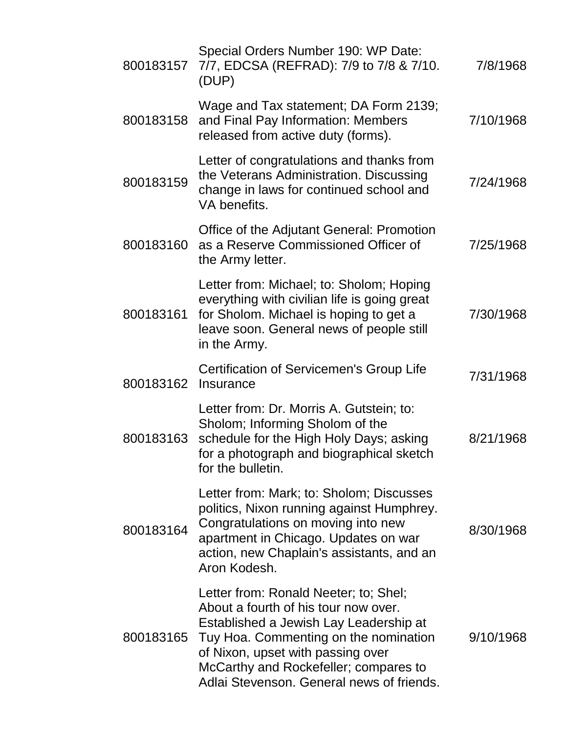| 800183157 | Special Orders Number 190: WP Date:<br>7/7, EDCSA (REFRAD): 7/9 to 7/8 & 7/10.<br>(DUP)                                                                                                                                                                                                     | 7/8/1968  |
|-----------|---------------------------------------------------------------------------------------------------------------------------------------------------------------------------------------------------------------------------------------------------------------------------------------------|-----------|
| 800183158 | Wage and Tax statement; DA Form 2139;<br>and Final Pay Information: Members<br>released from active duty (forms).                                                                                                                                                                           | 7/10/1968 |
| 800183159 | Letter of congratulations and thanks from<br>the Veterans Administration. Discussing<br>change in laws for continued school and<br>VA benefits.                                                                                                                                             | 7/24/1968 |
| 800183160 | Office of the Adjutant General: Promotion<br>as a Reserve Commissioned Officer of<br>the Army letter.                                                                                                                                                                                       | 7/25/1968 |
| 800183161 | Letter from: Michael; to: Sholom; Hoping<br>everything with civilian life is going great<br>for Sholom. Michael is hoping to get a<br>leave soon. General news of people still<br>in the Army.                                                                                              | 7/30/1968 |
| 800183162 | Certification of Servicemen's Group Life<br>Insurance                                                                                                                                                                                                                                       | 7/31/1968 |
| 800183163 | Letter from: Dr. Morris A. Gutstein; to:<br>Sholom; Informing Sholom of the<br>schedule for the High Holy Days; asking<br>for a photograph and biographical sketch<br>for the bulletin.                                                                                                     | 8/21/1968 |
| 800183164 | Letter from: Mark; to: Sholom; Discusses<br>politics, Nixon running against Humphrey.<br>Congratulations on moving into new<br>apartment in Chicago. Updates on war<br>action, new Chaplain's assistants, and an<br>Aron Kodesh.                                                            | 8/30/1968 |
| 800183165 | Letter from: Ronald Neeter; to; Shel;<br>About a fourth of his tour now over.<br>Established a Jewish Lay Leadership at<br>Tuy Hoa. Commenting on the nomination<br>of Nixon, upset with passing over<br>McCarthy and Rockefeller; compares to<br>Adlai Stevenson. General news of friends. | 9/10/1968 |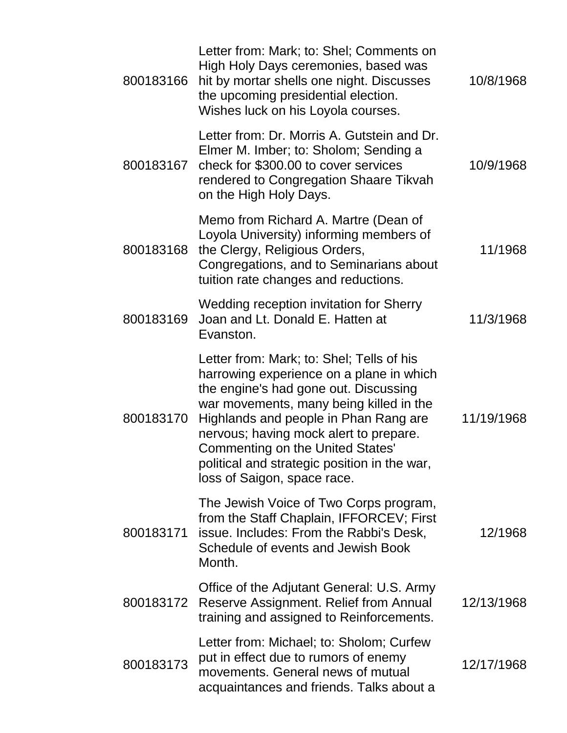| 800183166 | Letter from: Mark; to: Shel; Comments on<br>High Holy Days ceremonies, based was<br>hit by mortar shells one night. Discusses<br>the upcoming presidential election.<br>Wishes luck on his Loyola courses.                                                                                                                                                                             | 10/8/1968  |
|-----------|----------------------------------------------------------------------------------------------------------------------------------------------------------------------------------------------------------------------------------------------------------------------------------------------------------------------------------------------------------------------------------------|------------|
| 800183167 | Letter from: Dr. Morris A. Gutstein and Dr.<br>Elmer M. Imber; to: Sholom; Sending a<br>check for \$300.00 to cover services<br>rendered to Congregation Shaare Tikvah<br>on the High Holy Days.                                                                                                                                                                                       | 10/9/1968  |
| 800183168 | Memo from Richard A. Martre (Dean of<br>Loyola University) informing members of<br>the Clergy, Religious Orders,<br>Congregations, and to Seminarians about<br>tuition rate changes and reductions.                                                                                                                                                                                    | 11/1968    |
| 800183169 | Wedding reception invitation for Sherry<br>Joan and Lt. Donald E. Hatten at<br>Evanston.                                                                                                                                                                                                                                                                                               | 11/3/1968  |
| 800183170 | Letter from: Mark; to: Shel; Tells of his<br>harrowing experience on a plane in which<br>the engine's had gone out. Discussing<br>war movements, many being killed in the<br>Highlands and people in Phan Rang are<br>nervous; having mock alert to prepare.<br><b>Commenting on the United States'</b><br>political and strategic position in the war,<br>loss of Saigon, space race. | 11/19/1968 |
| 800183171 | The Jewish Voice of Two Corps program,<br>from the Staff Chaplain, IFFORCEV; First<br>issue. Includes: From the Rabbi's Desk,<br>Schedule of events and Jewish Book<br>Month.                                                                                                                                                                                                          | 12/1968    |
| 800183172 | Office of the Adjutant General: U.S. Army<br>Reserve Assignment. Relief from Annual<br>training and assigned to Reinforcements.                                                                                                                                                                                                                                                        | 12/13/1968 |
| 800183173 | Letter from: Michael; to: Sholom; Curfew<br>put in effect due to rumors of enemy<br>movements. General news of mutual<br>acquaintances and friends. Talks about a                                                                                                                                                                                                                      | 12/17/1968 |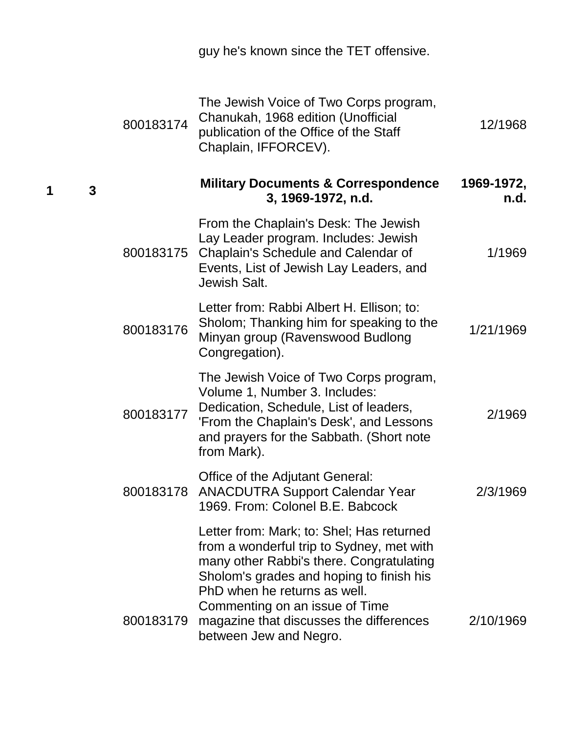| Chaplain, IFFORCEV).                                           | 800183174                                                                                                                                                                                                                                                                                                                                                                                                                                                                                                                                                                                                                                                                                                                                                                                                                                                                                                                                                                                   |                                               |
|----------------------------------------------------------------|---------------------------------------------------------------------------------------------------------------------------------------------------------------------------------------------------------------------------------------------------------------------------------------------------------------------------------------------------------------------------------------------------------------------------------------------------------------------------------------------------------------------------------------------------------------------------------------------------------------------------------------------------------------------------------------------------------------------------------------------------------------------------------------------------------------------------------------------------------------------------------------------------------------------------------------------------------------------------------------------|-----------------------------------------------|
| 3, 1969-1972, n.d.                                             |                                                                                                                                                                                                                                                                                                                                                                                                                                                                                                                                                                                                                                                                                                                                                                                                                                                                                                                                                                                             | $\mathbf{3}$                                  |
| Jewish Salt.                                                   |                                                                                                                                                                                                                                                                                                                                                                                                                                                                                                                                                                                                                                                                                                                                                                                                                                                                                                                                                                                             |                                               |
| Congregation).                                                 | 800183176                                                                                                                                                                                                                                                                                                                                                                                                                                                                                                                                                                                                                                                                                                                                                                                                                                                                                                                                                                                   |                                               |
| Volume 1, Number 3. Includes:<br>from Mark).                   | 800183177                                                                                                                                                                                                                                                                                                                                                                                                                                                                                                                                                                                                                                                                                                                                                                                                                                                                                                                                                                                   |                                               |
| Office of the Adjutant General:                                | 800183178                                                                                                                                                                                                                                                                                                                                                                                                                                                                                                                                                                                                                                                                                                                                                                                                                                                                                                                                                                                   |                                               |
| PhD when he returns as well.<br>Commenting on an issue of Time | 800183179                                                                                                                                                                                                                                                                                                                                                                                                                                                                                                                                                                                                                                                                                                                                                                                                                                                                                                                                                                                   |                                               |
|                                                                | guy he's known since the TET offensive.<br>The Jewish Voice of Two Corps program,<br>Chanukah, 1968 edition (Unofficial<br>publication of the Office of the Staff<br><b>Military Documents &amp; Correspondence</b><br>From the Chaplain's Desk: The Jewish<br>Lay Leader program. Includes: Jewish<br>Events, List of Jewish Lay Leaders, and<br>Letter from: Rabbi Albert H. Ellison; to:<br>Sholom; Thanking him for speaking to the<br>Minyan group (Ravenswood Budlong<br>The Jewish Voice of Two Corps program,<br>Dedication, Schedule, List of leaders,<br>'From the Chaplain's Desk', and Lessons<br>and prayers for the Sabbath. (Short note<br><b>ANACDUTRA Support Calendar Year</b><br>1969. From: Colonel B.E. Babcock<br>Letter from: Mark; to: Shel; Has returned<br>from a wonderful trip to Sydney, met with<br>many other Rabbi's there. Congratulating<br>Sholom's grades and hoping to finish his<br>magazine that discusses the differences<br>between Jew and Negro. | 800183175 Chaplain's Schedule and Calendar of |

**1 3**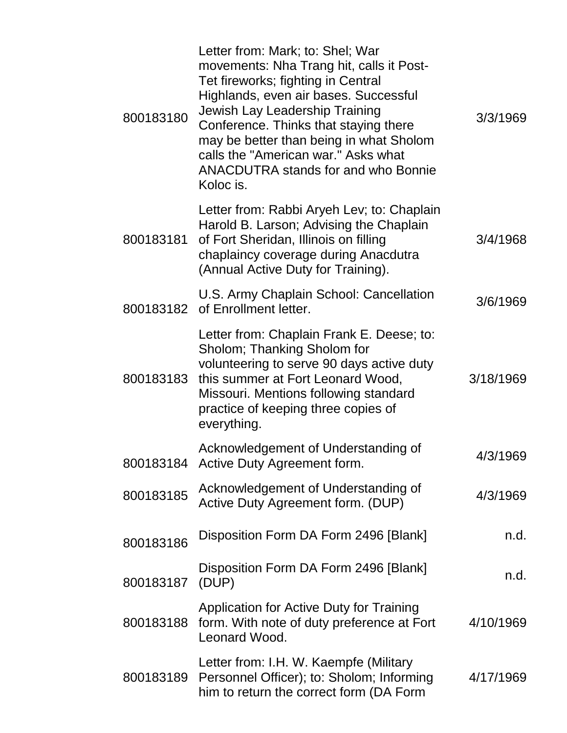| 800183180 | Letter from: Mark; to: Shel; War<br>movements: Nha Trang hit, calls it Post-<br>Tet fireworks; fighting in Central<br>Highlands, even air bases. Successful<br>Jewish Lay Leadership Training<br>Conference. Thinks that staying there<br>may be better than being in what Sholom<br>calls the "American war." Asks what<br><b>ANACDUTRA stands for and who Bonnie</b><br>Koloc is. | 3/3/1969  |
|-----------|-------------------------------------------------------------------------------------------------------------------------------------------------------------------------------------------------------------------------------------------------------------------------------------------------------------------------------------------------------------------------------------|-----------|
| 800183181 | Letter from: Rabbi Aryeh Lev; to: Chaplain<br>Harold B. Larson; Advising the Chaplain<br>of Fort Sheridan, Illinois on filling<br>chaplaincy coverage during Anacdutra<br>(Annual Active Duty for Training).                                                                                                                                                                        | 3/4/1968  |
|           | U.S. Army Chaplain School: Cancellation<br>800183182 of Enrollment letter.                                                                                                                                                                                                                                                                                                          | 3/6/1969  |
| 800183183 | Letter from: Chaplain Frank E. Deese; to:<br>Sholom; Thanking Sholom for<br>volunteering to serve 90 days active duty<br>this summer at Fort Leonard Wood,<br>Missouri. Mentions following standard<br>practice of keeping three copies of<br>everything.                                                                                                                           | 3/18/1969 |
|           | Acknowledgement of Understanding of<br>800183184 Active Duty Agreement form.                                                                                                                                                                                                                                                                                                        | 4/3/1969  |
| 800183185 | Acknowledgement of Understanding of<br>Active Duty Agreement form. (DUP)                                                                                                                                                                                                                                                                                                            | 4/3/1969  |
| 800183186 | Disposition Form DA Form 2496 [Blank]                                                                                                                                                                                                                                                                                                                                               | n.d.      |
| 800183187 | Disposition Form DA Form 2496 [Blank]<br>(DUP)                                                                                                                                                                                                                                                                                                                                      | n.d.      |
| 800183188 | Application for Active Duty for Training<br>form. With note of duty preference at Fort<br>Leonard Wood.                                                                                                                                                                                                                                                                             | 4/10/1969 |
| 800183189 | Letter from: I.H. W. Kaempfe (Military<br>Personnel Officer); to: Sholom; Informing<br>him to return the correct form (DA Form                                                                                                                                                                                                                                                      | 4/17/1969 |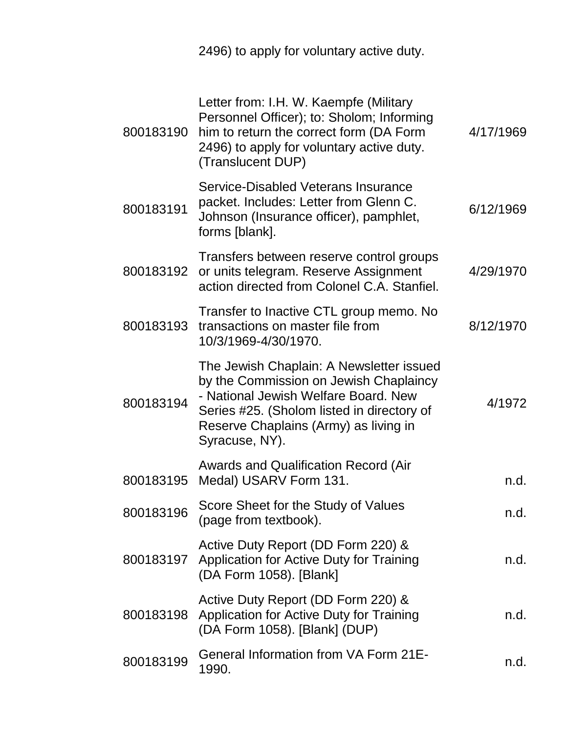2496) to apply for voluntary active duty.

| 800183190 | Letter from: I.H. W. Kaempfe (Military<br>Personnel Officer); to: Sholom; Informing<br>him to return the correct form (DA Form<br>2496) to apply for voluntary active duty.<br>(Translucent DUP)                                    | 4/17/1969 |
|-----------|-------------------------------------------------------------------------------------------------------------------------------------------------------------------------------------------------------------------------------------|-----------|
| 800183191 | Service-Disabled Veterans Insurance<br>packet. Includes: Letter from Glenn C.<br>Johnson (Insurance officer), pamphlet,<br>forms [blank].                                                                                           | 6/12/1969 |
| 800183192 | Transfers between reserve control groups<br>or units telegram. Reserve Assignment<br>action directed from Colonel C.A. Stanfiel.                                                                                                    | 4/29/1970 |
| 800183193 | Transfer to Inactive CTL group memo. No<br>transactions on master file from<br>10/3/1969-4/30/1970.                                                                                                                                 | 8/12/1970 |
| 800183194 | The Jewish Chaplain: A Newsletter issued<br>by the Commission on Jewish Chaplaincy<br>- National Jewish Welfare Board. New<br>Series #25. (Sholom listed in directory of<br>Reserve Chaplains (Army) as living in<br>Syracuse, NY). | 4/1972    |
| 800183195 | <b>Awards and Qualification Record (Air</b><br>Medal) USARV Form 131.                                                                                                                                                               | n.d.      |
| 800183196 | Score Sheet for the Study of Values<br>(page from textbook).                                                                                                                                                                        | n.d.      |
|           | Active Duty Report (DD Form 220) &<br>800183197 Application for Active Duty for Training<br>(DA Form 1058). [Blank]                                                                                                                 | n.d.      |
| 800183198 | Active Duty Report (DD Form 220) &<br>Application for Active Duty for Training<br>(DA Form 1058). [Blank] (DUP)                                                                                                                     | n.d.      |
| 800183199 | <b>General Information from VA Form 21E-</b><br>1990.                                                                                                                                                                               | n.d.      |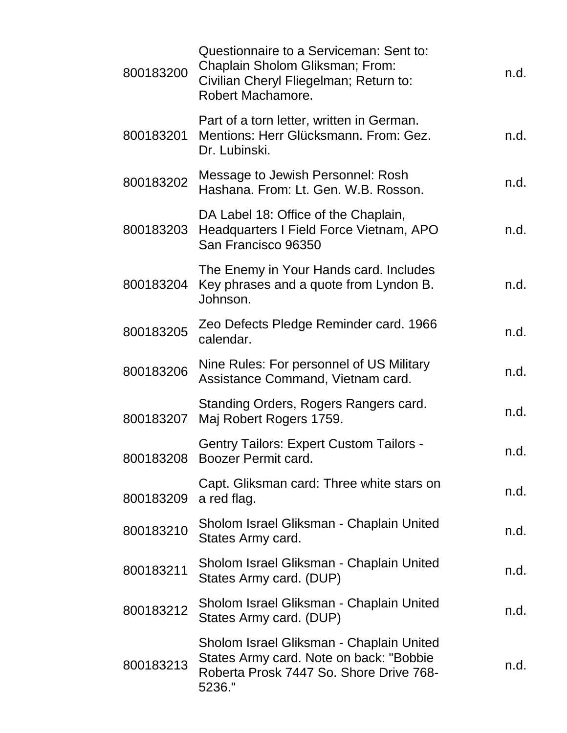| 800183200 | Questionnaire to a Serviceman: Sent to:<br>Chaplain Sholom Gliksman; From:<br>Civilian Cheryl Fliegelman; Return to:<br>Robert Machamore. | n.d. |
|-----------|-------------------------------------------------------------------------------------------------------------------------------------------|------|
| 800183201 | Part of a torn letter, written in German.<br>Mentions: Herr Glücksmann. From: Gez.<br>Dr. Lubinski.                                       | n.d. |
| 800183202 | Message to Jewish Personnel: Rosh<br>Hashana, From: Lt. Gen, W.B. Rosson.                                                                 | n.d. |
| 800183203 | DA Label 18: Office of the Chaplain,<br>Headquarters I Field Force Vietnam, APO<br>San Francisco 96350                                    | n.d. |
| 800183204 | The Enemy in Your Hands card. Includes<br>Key phrases and a quote from Lyndon B.<br>Johnson.                                              | n.d. |
| 800183205 | Zeo Defects Pledge Reminder card. 1966<br>calendar.                                                                                       | n.d. |
| 800183206 | Nine Rules: For personnel of US Military<br>Assistance Command, Vietnam card.                                                             | n.d. |
| 800183207 | Standing Orders, Rogers Rangers card.<br>Maj Robert Rogers 1759.                                                                          | n.d. |
| 800183208 | <b>Gentry Tailors: Expert Custom Tailors -</b><br><b>Boozer Permit card.</b>                                                              | n.d. |
| 800183209 | Capt. Gliksman card: Three white stars on<br>a red flag.                                                                                  | n.d. |
| 800183210 | Sholom Israel Gliksman - Chaplain United<br>States Army card.                                                                             | n.d. |
| 800183211 | Sholom Israel Gliksman - Chaplain United<br>States Army card. (DUP)                                                                       | n.d. |
| 800183212 | Sholom Israel Gliksman - Chaplain United<br>States Army card. (DUP)                                                                       | n.d. |
| 800183213 | Sholom Israel Gliksman - Chaplain United<br>States Army card. Note on back: "Bobbie<br>Roberta Prosk 7447 So. Shore Drive 768-<br>5236."  | n.d. |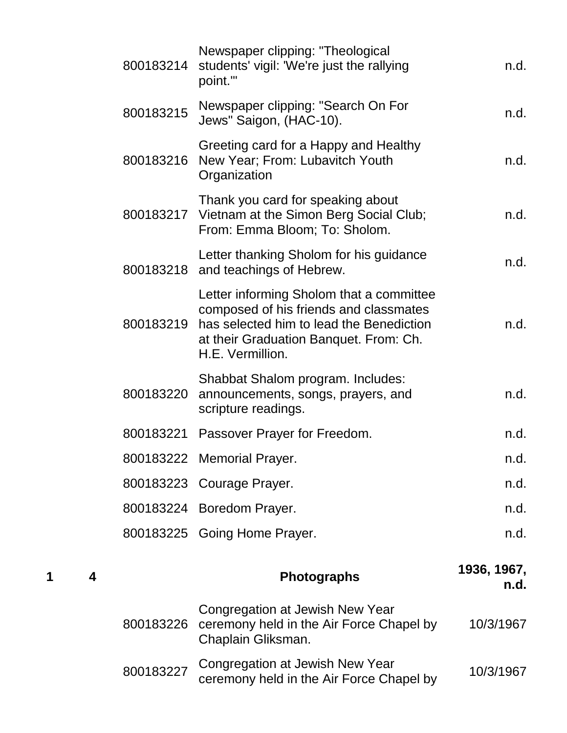| 800183214 | Newspaper clipping: "Theological<br>students' vigil: 'We're just the rallying<br>point.""                                                                                                    | n.d.                |
|-----------|----------------------------------------------------------------------------------------------------------------------------------------------------------------------------------------------|---------------------|
| 800183215 | Newspaper clipping: "Search On For<br>Jews" Saigon, (HAC-10).                                                                                                                                | n.d.                |
| 800183216 | Greeting card for a Happy and Healthy<br>New Year; From: Lubavitch Youth<br>Organization                                                                                                     | n.d.                |
|           | Thank you card for speaking about<br>800183217 Vietnam at the Simon Berg Social Club;<br>From: Emma Bloom; To: Sholom.                                                                       | n.d.                |
|           | Letter thanking Sholom for his guidance<br>800183218 and teachings of Hebrew.                                                                                                                | n.d.                |
| 800183219 | Letter informing Sholom that a committee<br>composed of his friends and classmates<br>has selected him to lead the Benediction<br>at their Graduation Banquet. From: Ch.<br>H.E. Vermillion. | n.d.                |
| 800183220 | Shabbat Shalom program. Includes:<br>announcements, songs, prayers, and<br>scripture readings.                                                                                               | n.d.                |
|           |                                                                                                                                                                                              |                     |
|           | 800183221 Passover Prayer for Freedom.                                                                                                                                                       | n.d.                |
|           | 800183222 Memorial Prayer.                                                                                                                                                                   | n.d.                |
|           | 800183223 Courage Prayer.                                                                                                                                                                    | n.d.                |
|           | 800183224 Boredom Prayer.                                                                                                                                                                    | n.d.                |
|           | 800183225 Going Home Prayer.                                                                                                                                                                 | n.d.                |
|           | <b>Photographs</b>                                                                                                                                                                           | 1936, 1967,<br>n.d. |
| 800183226 | Congregation at Jewish New Year<br>ceremony held in the Air Force Chapel by<br>Chaplain Gliksman.                                                                                            | 10/3/1967           |

**<sup>1</sup> <sup>4</sup> Photographs 1936, 1967,**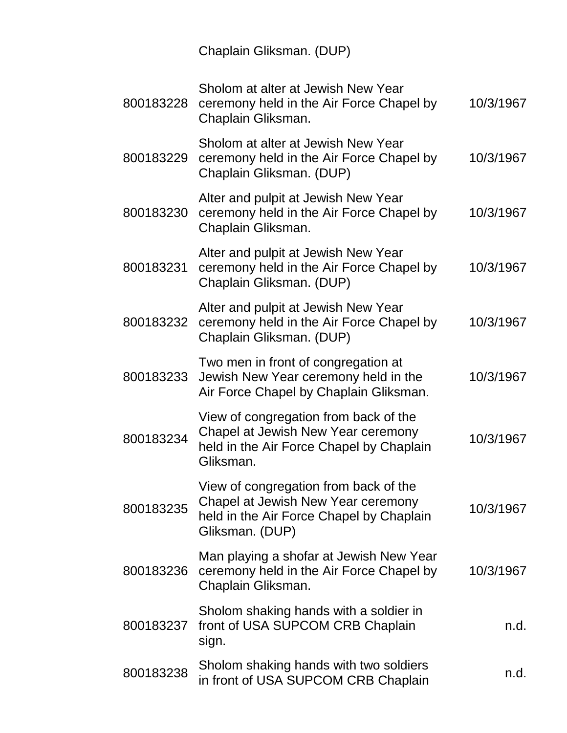Chaplain Gliksman. (DUP)

| 800183228 | Sholom at alter at Jewish New Year<br>ceremony held in the Air Force Chapel by<br>Chaplain Gliksman.                                       | 10/3/1967 |
|-----------|--------------------------------------------------------------------------------------------------------------------------------------------|-----------|
| 800183229 | Sholom at alter at Jewish New Year<br>ceremony held in the Air Force Chapel by<br>Chaplain Gliksman. (DUP)                                 | 10/3/1967 |
| 800183230 | Alter and pulpit at Jewish New Year<br>ceremony held in the Air Force Chapel by<br>Chaplain Gliksman.                                      | 10/3/1967 |
| 800183231 | Alter and pulpit at Jewish New Year<br>ceremony held in the Air Force Chapel by<br>Chaplain Gliksman. (DUP)                                | 10/3/1967 |
| 800183232 | Alter and pulpit at Jewish New Year<br>ceremony held in the Air Force Chapel by<br>Chaplain Gliksman. (DUP)                                | 10/3/1967 |
| 800183233 | Two men in front of congregation at<br>Jewish New Year ceremony held in the<br>Air Force Chapel by Chaplain Gliksman.                      | 10/3/1967 |
| 800183234 | View of congregation from back of the<br>Chapel at Jewish New Year ceremony<br>held in the Air Force Chapel by Chaplain<br>Gliksman.       | 10/3/1967 |
| 800183235 | View of congregation from back of the<br>Chapel at Jewish New Year ceremony<br>held in the Air Force Chapel by Chaplain<br>Gliksman. (DUP) | 10/3/1967 |
| 800183236 | Man playing a shofar at Jewish New Year<br>ceremony held in the Air Force Chapel by<br>Chaplain Gliksman.                                  | 10/3/1967 |
| 800183237 | Sholom shaking hands with a soldier in<br>front of USA SUPCOM CRB Chaplain<br>sign.                                                        | n.d.      |
| 800183238 | Sholom shaking hands with two soldiers<br>in front of USA SUPCOM CRB Chaplain                                                              | n.d.      |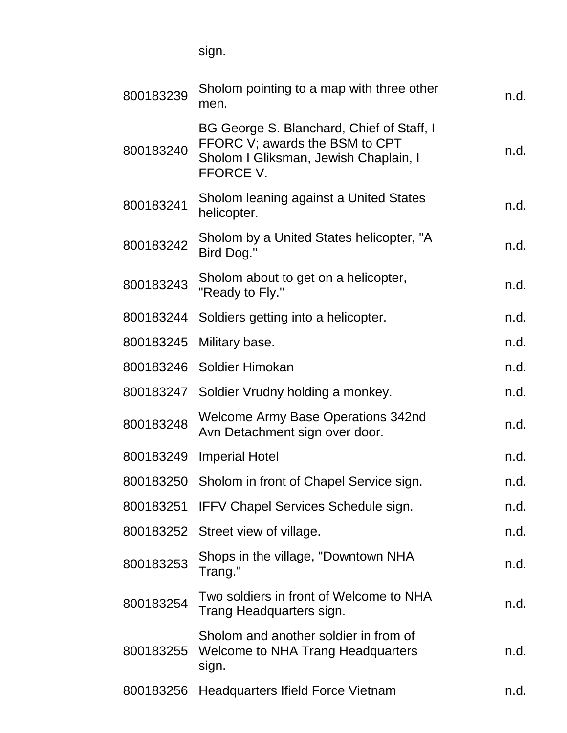sign.

| 800183239 | Sholom pointing to a map with three other<br>men.                                                                                 | n.d. |
|-----------|-----------------------------------------------------------------------------------------------------------------------------------|------|
| 800183240 | BG George S. Blanchard, Chief of Staff, I<br>FFORC V; awards the BSM to CPT<br>Sholom I Gliksman, Jewish Chaplain, I<br>FFORCE V. | n.d. |
| 800183241 | Sholom leaning against a United States<br>helicopter.                                                                             | n.d. |
| 800183242 | Sholom by a United States helicopter, "A<br>Bird Dog."                                                                            | n.d. |
| 800183243 | Sholom about to get on a helicopter,<br>"Ready to Fly."                                                                           | n.d. |
| 800183244 | Soldiers getting into a helicopter.                                                                                               | n.d. |
| 800183245 | Military base.                                                                                                                    | n.d. |
|           | 800183246 Soldier Himokan                                                                                                         | n.d. |
|           | 800183247 Soldier Vrudny holding a monkey.                                                                                        | n.d. |
| 800183248 | <b>Welcome Army Base Operations 342nd</b><br>Avn Detachment sign over door.                                                       | n.d. |
| 800183249 | <b>Imperial Hotel</b>                                                                                                             | n.d. |
|           | 800183250 Sholom in front of Chapel Service sign.                                                                                 | n.d. |
|           | 800183251 IFFV Chapel Services Schedule sign.                                                                                     | n.d. |
|           | 800183252 Street view of village.                                                                                                 | n.d. |
| 800183253 | Shops in the village, "Downtown NHA<br>Trang."                                                                                    | n.d. |
| 800183254 | Two soldiers in front of Welcome to NHA<br>Trang Headquarters sign.                                                               | n.d. |
| 800183255 | Sholom and another soldier in from of<br><b>Welcome to NHA Trang Headquarters</b><br>sign.                                        | n.d. |
| 800183256 | Headquarters Ifield Force Vietnam                                                                                                 | n.d. |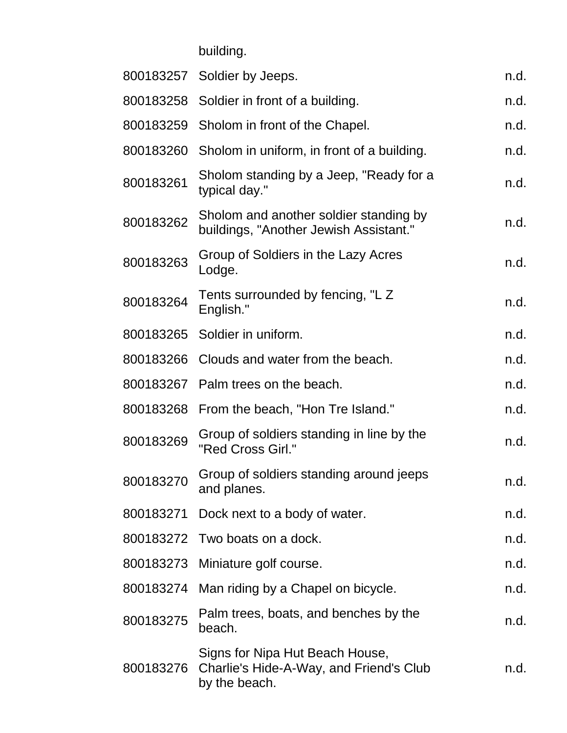building.

|           | 800183257 Soldier by Jeeps.                                                                 | n.d. |
|-----------|---------------------------------------------------------------------------------------------|------|
|           | 800183258 Soldier in front of a building.                                                   | n.d. |
|           | 800183259 Sholom in front of the Chapel.                                                    | n.d. |
| 800183260 | Sholom in uniform, in front of a building.                                                  | n.d. |
| 800183261 | Sholom standing by a Jeep, "Ready for a<br>typical day."                                    | n.d. |
| 800183262 | Sholom and another soldier standing by<br>buildings, "Another Jewish Assistant."            | n.d. |
| 800183263 | Group of Soldiers in the Lazy Acres<br>Lodge.                                               | n.d. |
| 800183264 | Tents surrounded by fencing, "L Z<br>English."                                              | n.d. |
|           | 800183265 Soldier in uniform.                                                               | n.d. |
|           | 800183266 Clouds and water from the beach.                                                  | n.d. |
|           | 800183267 Palm trees on the beach.                                                          | n.d. |
|           | 800183268 From the beach, "Hon Tre Island."                                                 | n.d. |
| 800183269 | Group of soldiers standing in line by the<br>"Red Cross Girl."                              | n.d. |
| 800183270 | Group of soldiers standing around jeeps<br>and planes.                                      | n.d. |
| 800183271 | Dock next to a body of water.                                                               | n.d. |
|           | 800183272 Two boats on a dock.                                                              | n.d. |
|           | 800183273 Miniature golf course.                                                            | n.d. |
| 800183274 | Man riding by a Chapel on bicycle.                                                          | n.d. |
| 800183275 | Palm trees, boats, and benches by the<br>beach.                                             | n.d. |
| 800183276 | Signs for Nipa Hut Beach House,<br>Charlie's Hide-A-Way, and Friend's Club<br>by the beach. | n.d. |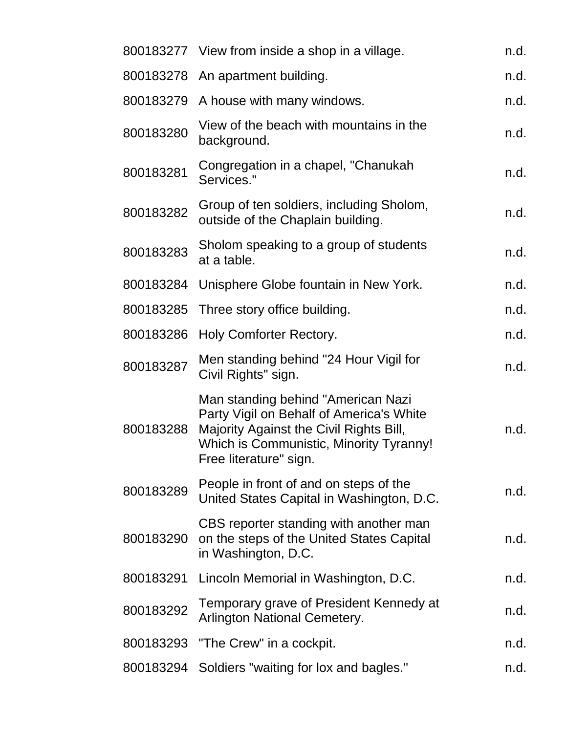|           | 800183277 View from inside a shop in a village.                                                                                                                                                | n.d. |
|-----------|------------------------------------------------------------------------------------------------------------------------------------------------------------------------------------------------|------|
|           | 800183278 An apartment building.                                                                                                                                                               | n.d. |
| 800183279 | A house with many windows.                                                                                                                                                                     | n.d. |
| 800183280 | View of the beach with mountains in the<br>background.                                                                                                                                         | n.d. |
| 800183281 | Congregation in a chapel, "Chanukah<br>Services."                                                                                                                                              | n.d. |
| 800183282 | Group of ten soldiers, including Sholom,<br>outside of the Chaplain building.                                                                                                                  | n.d. |
| 800183283 | Sholom speaking to a group of students<br>at a table.                                                                                                                                          | n.d. |
| 800183284 | Unisphere Globe fountain in New York.                                                                                                                                                          | n.d. |
| 800183285 | Three story office building.                                                                                                                                                                   | n.d. |
| 800183286 | <b>Holy Comforter Rectory.</b>                                                                                                                                                                 | n.d. |
| 800183287 | Men standing behind "24 Hour Vigil for<br>Civil Rights" sign.                                                                                                                                  | n.d. |
| 800183288 | Man standing behind "American Nazi<br>Party Vigil on Behalf of America's White<br>Majority Against the Civil Rights Bill,<br>Which is Communistic, Minority Tyranny!<br>Free literature" sign. | n.d. |
| 800183289 | People in front of and on steps of the<br>United States Capital in Washington, D.C.                                                                                                            | n.d. |
| 800183290 | CBS reporter standing with another man<br>on the steps of the United States Capital<br>in Washington, D.C.                                                                                     | n.d. |
| 800183291 | Lincoln Memorial in Washington, D.C.                                                                                                                                                           | n.d. |
| 800183292 | Temporary grave of President Kennedy at<br><b>Arlington National Cemetery.</b>                                                                                                                 | n.d. |
|           | 800183293 "The Crew" in a cockpit.                                                                                                                                                             | n.d. |
| 800183294 | Soldiers "waiting for lox and bagles."                                                                                                                                                         | n.d. |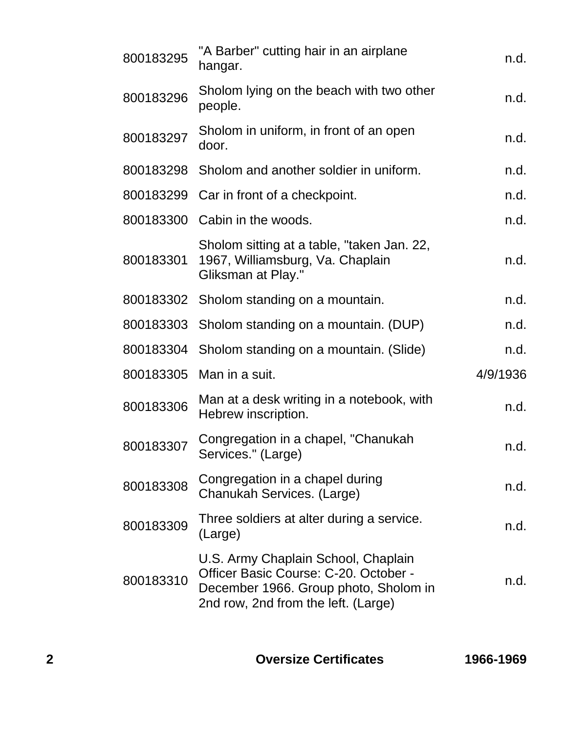| 800183295 | "A Barber" cutting hair in an airplane<br>hangar.                                                                                                            | n.d.     |
|-----------|--------------------------------------------------------------------------------------------------------------------------------------------------------------|----------|
| 800183296 | Sholom lying on the beach with two other<br>people.                                                                                                          | n.d.     |
| 800183297 | Sholom in uniform, in front of an open<br>door.                                                                                                              | n.d.     |
| 800183298 | Sholom and another soldier in uniform.                                                                                                                       | n.d.     |
|           | 800183299 Car in front of a checkpoint.                                                                                                                      | n.d.     |
|           | 800183300 Cabin in the woods.                                                                                                                                | n.d.     |
| 800183301 | Sholom sitting at a table, "taken Jan. 22,<br>1967, Williamsburg, Va. Chaplain<br>Gliksman at Play."                                                         | n.d.     |
|           | 800183302 Sholom standing on a mountain.                                                                                                                     | n.d.     |
|           | 800183303 Sholom standing on a mountain. (DUP)                                                                                                               | n.d.     |
| 800183304 | Sholom standing on a mountain. (Slide)                                                                                                                       | n.d.     |
| 800183305 | Man in a suit.                                                                                                                                               | 4/9/1936 |
| 800183306 | Man at a desk writing in a notebook, with<br>Hebrew inscription.                                                                                             | n.d.     |
| 800183307 | Congregation in a chapel, "Chanukah<br>Services." (Large)                                                                                                    | n.d.     |
| 800183308 | Congregation in a chapel during<br>Chanukah Services. (Large)                                                                                                | n.d.     |
| 800183309 | Three soldiers at alter during a service.<br>(Large)                                                                                                         | n.d.     |
| 800183310 | U.S. Army Chaplain School, Chaplain<br>Officer Basic Course: C-20. October -<br>December 1966. Group photo, Sholom in<br>2nd row, 2nd from the left. (Large) | n.d.     |